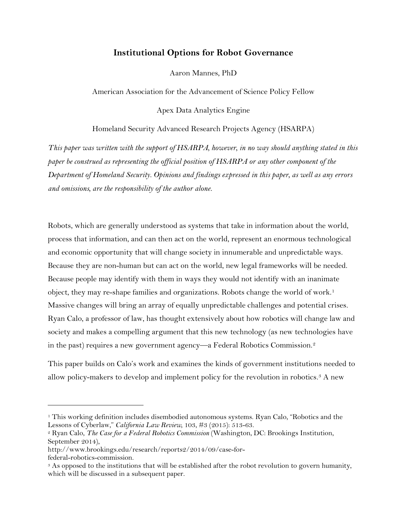# **Institutional Options for Robot Governance**

Aaron Mannes, PhD

American Association for the Advancement of Science Policy Fellow

Apex Data Analytics Engine

Homeland Security Advanced Research Projects Agency (HSARPA)

*This paper was written with the support of HSARPA, however, in no way should anything stated in this paper be construed as representing the official position of HSARPA or any other component of the Department of Homeland Security. Opinions and findings expressed in this paper, as well as any errors and omissions, are the responsibility of the author alone.*

Robots, which are generally understood as systems that take in information about the world, process that information, and can then act on the world, represent an enormous technological and economic opportunity that will change society in innumerable and unpredictable ways. Because they are non-human but can act on the world, new legal frameworks will be needed. Because people may identify with them in ways they would not identify with an inanimate object, they may re-shape families and organizations. Robots change the world of work.<sup>[1](#page-0-0)</sup> Massive changes will bring an array of equally unpredictable challenges and potential crises. Ryan Calo, a professor of law, has thought extensively about how robotics will change law and society and makes a compelling argument that this new technology (as new technologies have in the past) requires a new government agency—a Federal Robotics Commission.[2](#page-0-1)

This paper builds on Calo's work and examines the kinds of government institutions needed to allow policy-makers to develop and implement policy for the revolution in robotics.<sup>3</sup> A new

<span id="page-0-0"></span><sup>1</sup> This working definition includes disembodied autonomous systems. Ryan Calo, "Robotics and the Lessons of Cyberlaw," *California Law Review*, 103, #3 (2015): 513-63.

<span id="page-0-1"></span><sup>2</sup> Ryan Calo, *The Case for a Federal Robotics Commission* (Washington, DC: Brookings Institution, September 2014),

http://www.brookings.edu/research/reports2/2014/09/case-for-

<span id="page-0-2"></span>federal-robotics-commission.<br><sup>3</sup> As opposed to the institutions that will be established after the robot revolution to govern humanity, which will be discussed in a subsequent paper.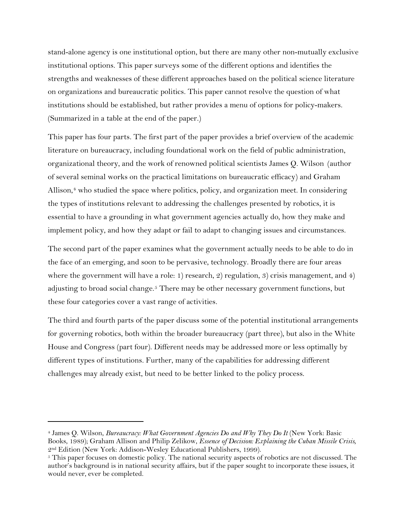stand-alone agency is one institutional option, but there are many other non-mutually exclusive institutional options. This paper surveys some of the different options and identifies the strengths and weaknesses of these different approaches based on the political science literature on organizations and bureaucratic politics. This paper cannot resolve the question of what institutions should be established, but rather provides a menu of options for policy-makers. (Summarized in a table at the end of the paper.)

This paper has four parts. The first part of the paper provides a brief overview of the academic literature on bureaucracy, including foundational work on the field of public administration, organizational theory, and the work of renowned political scientists James Q. Wilson (author of several seminal works on the practical limitations on bureaucratic efficacy) and Graham Allison, $4$  who studied the space where politics, policy, and organization meet. In considering the types of institutions relevant to addressing the challenges presented by robotics, it is essential to have a grounding in what government agencies actually do, how they make and implement policy, and how they adapt or fail to adapt to changing issues and circumstances.

The second part of the paper examines what the government actually needs to be able to do in the face of an emerging, and soon to be pervasive, technology. Broadly there are four areas where the government will have a role: 1) research, 2) regulation, 3) crisis management, and 4) adjusting to broad social change.<sup>[5](#page-1-1)</sup> There may be other necessary government functions, but these four categories cover a vast range of activities.

The third and fourth parts of the paper discuss some of the potential institutional arrangements for governing robotics, both within the broader bureaucracy (part three), but also in the White House and Congress (part four). Different needs may be addressed more or less optimally by different types of institutions. Further, many of the capabilities for addressing different challenges may already exist, but need to be better linked to the policy process.

<span id="page-1-0"></span><sup>4</sup> James Q. Wilson, *Bureaucracy: What Government Agencies Do and Why They Do It* (New York: Basic Books, 1989); Graham Allison and Philip Zelikow, *Essence of Decision: Explaining the Cuban Missile Crisis,*   $2<sup>nd</sup> Edition$  (New York: Addison-Wesley Educational Publishers, 1999).<br><sup>5</sup> This paper focuses on domestic policy. The national security aspects of robotics are not discussed. The

<span id="page-1-1"></span>author's background is in national security affairs, but if the paper sought to incorporate these issues, it would never, ever be completed.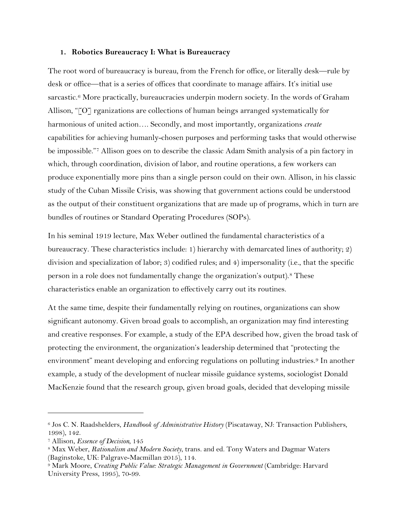#### **1. Robotics Bureaucracy I: What is Bureaucracy**

The root word of bureaucracy is bureau, from the French for office, or literally desk—rule by desk or office—that is a series of offices that coordinate to manage affairs. It's initial use sarcastic.<sup>[6](#page-2-0)</sup> More practically, bureaucracies underpin modern society. In the words of Graham Allison, "[O] rganizations are collections of human beings arranged systematically for harmonious of united action…. Secondly, and most importantly, organizations *create*  capabilities for achieving humanly-chosen purposes and performing tasks that would otherwise be impossible."[7](#page-2-1) Allison goes on to describe the classic Adam Smith analysis of a pin factory in which, through coordination, division of labor, and routine operations, a few workers can produce exponentially more pins than a single person could on their own. Allison, in his classic study of the Cuban Missile Crisis, was showing that government actions could be understood as the output of their constituent organizations that are made up of programs, which in turn are bundles of routines or Standard Operating Procedures (SOPs).

In his seminal 1919 lecture, Max Weber outlined the fundamental characteristics of a bureaucracy. These characteristics include: 1) hierarchy with demarcated lines of authority; 2) division and specialization of labor; 3) codified rules; and 4) impersonality (i.e., that the specific person in a role does not fundamentally change the organization's output).[8](#page-2-2) These characteristics enable an organization to effectively carry out its routines.

At the same time, despite their fundamentally relying on routines, organizations can show significant autonomy. Given broad goals to accomplish, an organization may find interesting and creative responses. For example, a study of the EPA described how, given the broad task of protecting the environment, the organization's leadership determined that "protecting the environment" meant developing and enforcing regulations on polluting industries.[9](#page-2-3) In another example, a study of the development of nuclear missile guidance systems, sociologist Donald MacKenzie found that the research group, given broad goals, decided that developing missile

<span id="page-2-0"></span><sup>6</sup> Jos C. N. Raadshelders, *Handbook of Administrative History* (Piscataway, NJ: Transaction Publishers, 1998), 142.

<span id="page-2-1"></span><sup>7</sup> Allison, *Essence of Decision,* 145

<span id="page-2-2"></span><sup>8</sup> Max Weber, *Rationalism and Modern Society*, trans. and ed. Tony Waters and Dagmar Waters (Baginstoke, UK: Palgrave-Macmillan 2015), 114.<br><sup>9</sup> Mark Moore, *Creating Public Value: Strategic Management in Government* (Cambridge: Harvard

<span id="page-2-3"></span>University Press, 1995), 70-99.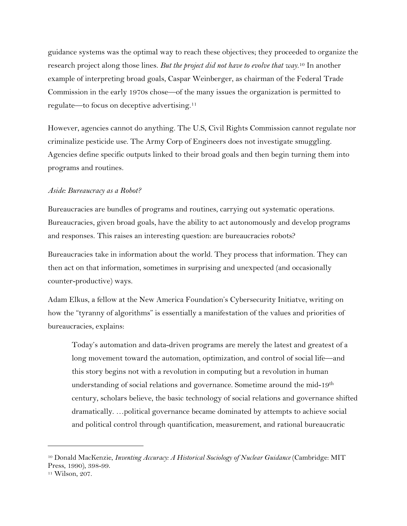guidance systems was the optimal way to reach these objectives; they proceeded to organize the research project along those lines. *But the project did not have to evolve that way*. [10](#page-3-0) In another example of interpreting broad goals, Caspar Weinberger, as chairman of the Federal Trade Commission in the early 1970s chose—of the many issues the organization is permitted to regulate—to focus on deceptive advertising.[11](#page-3-1)

However, agencies cannot do anything. The U.S, Civil Rights Commission cannot regulate nor criminalize pesticide use. The Army Corp of Engineers does not investigate smuggling. Agencies define specific outputs linked to their broad goals and then begin turning them into programs and routines.

#### *Aside: Bureaucracy as a Robot?*

Bureaucracies are bundles of programs and routines, carrying out systematic operations. Bureaucracies, given broad goals, have the ability to act autonomously and develop programs and responses. This raises an interesting question: are bureaucracies robots?

Bureaucracies take in information about the world. They process that information. They can then act on that information, sometimes in surprising and unexpected (and occasionally counter-productive) ways.

Adam Elkus, a fellow at the New America Foundation's Cybersecurity Initiatve, writing on how the "tyranny of algorithms" is essentially a manifestation of the values and priorities of bureaucracies, explains:

Today's automation and data-driven programs are merely the latest and greatest of a long movement toward the automation, optimization, and control of social life—and this story begins not with a revolution in computing but a revolution in human understanding of social relations and governance. Sometime around the mid-19th century, scholars believe, the basic technology of social relations and governance shifted dramatically. …political governance became dominated by attempts to achieve social and political control through quantification, measurement, and rational bureaucratic

<span id="page-3-0"></span><sup>10</sup> Donald MacKenzie, *Inventing Accuracy: A Historical Sociology of Nuclear Guidance* (Cambridge: MIT Press, 1990), 398-99.

<span id="page-3-1"></span><sup>11</sup> Wilson, 207.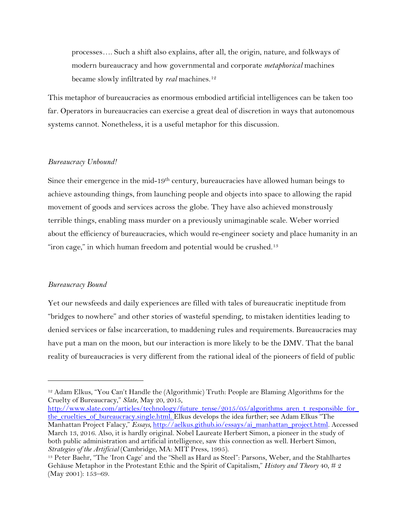processes…. Such a shift also explains, after all, the origin, nature, and folkways of modern bureaucracy and how governmental and corporate *metaphorical* machines became slowly infiltrated by *real* machines.[12](#page-4-0)

This metaphor of bureaucracies as enormous embodied artificial intelligences can be taken too far. Operators in bureaucracies can exercise a great deal of discretion in ways that autonomous systems cannot. Nonetheless, it is a useful metaphor for this discussion.

#### *Bureaucracy Unbound!*

Since their emergence in the mid-19<sup>th</sup> century, bureaucracies have allowed human beings to achieve astounding things, from launching people and objects into space to allowing the rapid movement of goods and services across the globe. They have also achieved monstrously terrible things, enabling mass murder on a previously unimaginable scale. Weber worried about the efficiency of bureaucracies, which would re-engineer society and place humanity in an "iron cage," in which human freedom and potential would be crushed.<sup>[13](#page-4-1)</sup>

#### *Bureaucracy Bound*

 $\overline{a}$ 

Yet our newsfeeds and daily experiences are filled with tales of bureaucratic ineptitude from "bridges to nowhere" and other stories of wasteful spending, to mistaken identities leading to denied services or false incarceration, to maddening rules and requirements. Bureaucracies may have put a man on the moon, but our interaction is more likely to be the DMV. That the banal reality of bureaucracies is very different from the rational ideal of the pioneers of field of public

[http://www.slate.com/articles/technology/future\\_tense/2015/05/algorithms\\_aren\\_t\\_responsible\\_for\\_](http://www.slate.com/articles/technology/future_tense/2015/05/algorithms_aren_t_responsible_for_the_cruelties_of_bureaucracy.single.html) [the\\_cruelties\\_of\\_bureaucracy.single.html.](http://www.slate.com/articles/technology/future_tense/2015/05/algorithms_aren_t_responsible_for_the_cruelties_of_bureaucracy.single.html) Elkus develops the idea further; see Adam Elkus "The Manhattan Project Falacy," *Essays,* [http://aelkus.github.io/essays/ai\\_manhattan\\_project.html.](http://aelkus.github.io/essays/ai_manhattan_project.html) Accessed March 13, 2016. Also, it is hardly original. Nobel Laureate Herbert Simon, a pioneer in the study of both public administration and artificial intelligence, saw this connection as well. Herbert Simon, *Strategies of the Artificial* (Cambridge, MA: MIT Press, 1995).

<span id="page-4-0"></span><sup>12</sup> Adam Elkus, "You Can't Handle the (Algorithmic) Truth: People are Blaming Algorithms for the Cruelty of Bureaucracy," *Slate*, May 20, 2015,

<span id="page-4-1"></span><sup>13</sup> Peter Baehr, "The 'Iron Cage' and the "Shell as Hard as Steel": Parsons, Weber, and the Stahlhartes Gehäuse Metaphor in the Protestant Ethic and the Spirit of Capitalism," *History and Theory* 40, # 2 (May 2001): 153–69.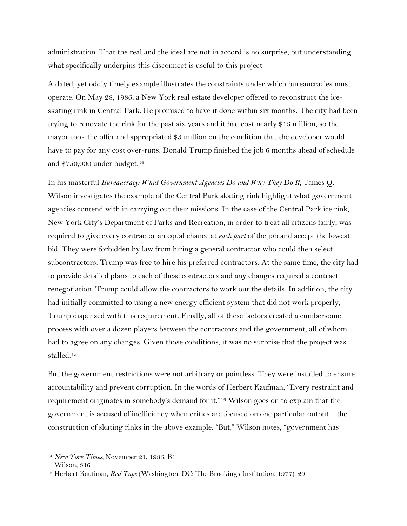administration. That the real and the ideal are not in accord is no surprise, but understanding what specifically underpins this disconnect is useful to this project.

A dated, yet oddly timely example illustrates the constraints under which bureaucracies must operate. On May 28, 1986, a New York real estate developer offered to reconstruct the iceskating rink in Central Park. He promised to have it done within six months. The city had been trying to renovate the rink for the past six years and it had cost nearly \$13 million, so the mayor took the offer and appropriated \$3 million on the condition that the developer would have to pay for any cost over-runs. Donald Trump finished the job 6 months ahead of schedule and \$750,000 under budget.[14](#page-5-0)

In his masterful *Bureaucracy: What Government Agencies Do and Why They Do It*,James Q. Wilson investigates the example of the Central Park skating rink highlight what government agencies contend with in carrying out their missions. In the case of the Central Park ice rink, New York City's Department of Parks and Recreation, in order to treat all citizens fairly, was required to give every contractor an equal chance at *each part* of the job and accept the lowest bid. They were forbidden by law from hiring a general contractor who could then select subcontractors. Trump was free to hire his preferred contractors. At the same time, the city had to provide detailed plans to each of these contractors and any changes required a contract renegotiation. Trump could allow the contractors to work out the details. In addition, the city had initially committed to using a new energy efficient system that did not work properly, Trump dispensed with this requirement. Finally, all of these factors created a cumbersome process with over a dozen players between the contractors and the government, all of whom had to agree on any changes. Given those conditions, it was no surprise that the project was stalled.[15](#page-5-1)

But the government restrictions were not arbitrary or pointless. They were installed to ensure accountability and prevent corruption. In the words of Herbert Kaufman, "Every restraint and requirement originates in somebody's demand for it."[16](#page-5-2) Wilson goes on to explain that the government is accused of inefficiency when critics are focused on one particular output—the construction of skating rinks in the above example. "But," Wilson notes, "government has

<span id="page-5-0"></span><sup>14</sup> *New York Times*, November 21, 1986, B1

<span id="page-5-1"></span><sup>15</sup> Wilson, 316

<span id="page-5-2"></span><sup>16</sup> Herbert Kaufman, *Red Tape* (Washington, DC: The Brookings Institution, 1977), 29.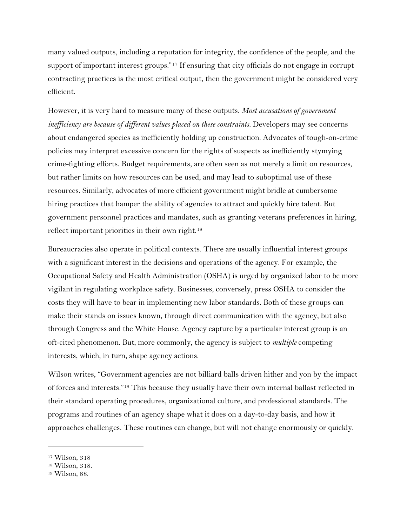many valued outputs, including a reputation for integrity, the confidence of the people, and the support of important interest groups."[17](#page-6-0) If ensuring that city officials do not engage in corrupt contracting practices is the most critical output, then the government might be considered very efficient.

However, it is very hard to measure many of these outputs. *Most accusations of government inefficiency are because of different values placed on these constraints.* Developers may see concerns about endangered species as inefficiently holding up construction. Advocates of tough-on-crime policies may interpret excessive concern for the rights of suspects as inefficiently stymying crime-fighting efforts. Budget requirements, are often seen as not merely a limit on resources, but rather limits on how resources can be used, and may lead to suboptimal use of these resources. Similarly, advocates of more efficient government might bridle at cumbersome hiring practices that hamper the ability of agencies to attract and quickly hire talent. But government personnel practices and mandates, such as granting veterans preferences in hiring, reflect important priorities in their own right.[18](#page-6-1)

Bureaucracies also operate in political contexts. There are usually influential interest groups with a significant interest in the decisions and operations of the agency. For example, the Occupational Safety and Health Administration (OSHA) is urged by organized labor to be more vigilant in regulating workplace safety. Businesses, conversely, press OSHA to consider the costs they will have to bear in implementing new labor standards. Both of these groups can make their stands on issues known, through direct communication with the agency, but also through Congress and the White House. Agency capture by a particular interest group is an oft-cited phenomenon. But, more commonly, the agency is subject to *multiple* competing interests, which, in turn, shape agency actions.

Wilson writes, "Government agencies are not billiard balls driven hither and yon by the impact of forces and interests.["19](#page-6-2) This because they usually have their own internal ballast reflected in their standard operating procedures, organizational culture, and professional standards. The programs and routines of an agency shape what it does on a day-to-day basis, and how it approaches challenges. These routines can change, but will not change enormously or quickly.

<span id="page-6-0"></span><sup>17</sup> Wilson, 318

<span id="page-6-1"></span><sup>18</sup> Wilson, 318.

<span id="page-6-2"></span><sup>19</sup> Wilson, 88.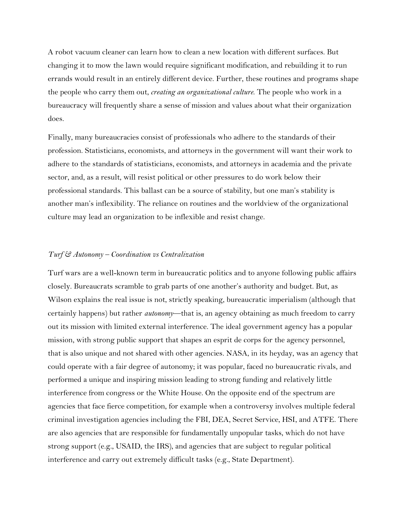A robot vacuum cleaner can learn how to clean a new location with different surfaces. But changing it to mow the lawn would require significant modification, and rebuilding it to run errands would result in an entirely different device. Further, these routines and programs shape the people who carry them out, *creating an organizational culture*. The people who work in a bureaucracy will frequently share a sense of mission and values about what their organization does.

Finally, many bureaucracies consist of professionals who adhere to the standards of their profession. Statisticians, economists, and attorneys in the government will want their work to adhere to the standards of statisticians, economists, and attorneys in academia and the private sector, and, as a result, will resist political or other pressures to do work below their professional standards. This ballast can be a source of stability, but one man's stability is another man's inflexibility. The reliance on routines and the worldview of the organizational culture may lead an organization to be inflexible and resist change.

#### *Turf & Autonomy – Coordination vs Centralization*

Turf wars are a well-known term in bureaucratic politics and to anyone following public affairs closely. Bureaucrats scramble to grab parts of one another's authority and budget. But, as Wilson explains the real issue is not, strictly speaking, bureaucratic imperialism (although that certainly happens) but rather *autonomy*—that is, an agency obtaining as much freedom to carry out its mission with limited external interference. The ideal government agency has a popular mission, with strong public support that shapes an esprit de corps for the agency personnel, that is also unique and not shared with other agencies. NASA, in its heyday, was an agency that could operate with a fair degree of autonomy; it was popular, faced no bureaucratic rivals, and performed a unique and inspiring mission leading to strong funding and relatively little interference from congress or the White House. On the opposite end of the spectrum are agencies that face fierce competition, for example when a controversy involves multiple federal criminal investigation agencies including the FBI, DEA, Secret Service, HSI, and ATFE. There are also agencies that are responsible for fundamentally unpopular tasks, which do not have strong support (e.g., USAID, the IRS), and agencies that are subject to regular political interference and carry out extremely difficult tasks (e.g., State Department).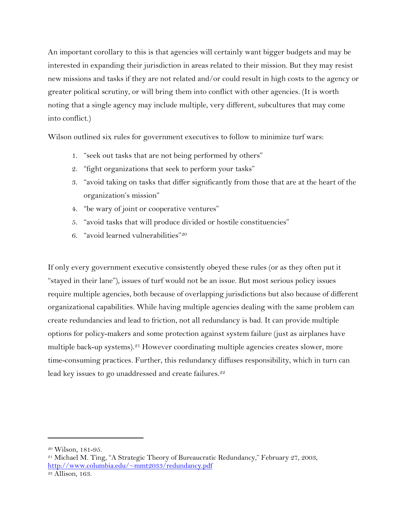An important corollary to this is that agencies will certainly want bigger budgets and may be interested in expanding their jurisdiction in areas related to their mission. But they may resist new missions and tasks if they are not related and/or could result in high costs to the agency or greater political scrutiny, or will bring them into conflict with other agencies. (It is worth noting that a single agency may include multiple, very different, subcultures that may come into conflict.)

Wilson outlined six rules for government executives to follow to minimize turf wars:

- 1. "seek out tasks that are not being performed by others"
- 2. "fight organizations that seek to perform your tasks"
- 3. "avoid taking on tasks that differ significantly from those that are at the heart of the organization's mission"
- 4. "be wary of joint or cooperative ventures"
- 5. "avoid tasks that will produce divided or hostile constituencies"
- 6. "avoid learned vulnerabilities"[20](#page-8-0)

If only every government executive consistently obeyed these rules (or as they often put it "stayed in their lane"), issues of turf would not be an issue. But most serious policy issues require multiple agencies, both because of overlapping jurisdictions but also because of different organizational capabilities. While having multiple agencies dealing with the same problem can create redundancies and lead to friction, not all redundancy is bad. It can provide multiple options for policy-makers and some protection against system failure (just as airplanes have multiple back-up systems).<sup>[21](#page-8-1)</sup> However coordinating multiple agencies creates slower, more time-consuming practices. Further, this redundancy diffuses responsibility, which in turn can lead key issues to go unaddressed and create failures.<sup>[22](#page-8-2)</sup>

<span id="page-8-1"></span><span id="page-8-0"></span><sup>&</sup>lt;sup>20</sup> Wilson, 181-95.<br><sup>21</sup> Michael M. Ting, "A Strategic Theory of Bureaucratic Redundancy," February 27, 2003, [http://www.columbia.edu/~mmt2033/redundancy.pdf](http://www.columbia.edu/%7Emmt2033/redundancy.pdf)

<span id="page-8-2"></span><sup>22</sup> Allison, 163.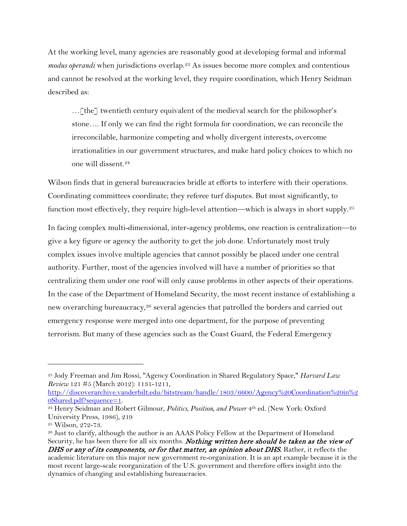At the working level, many agencies are reasonably good at developing formal and informal *modus operandi* when jurisdictions overlap.<sup>[23](#page-9-0)</sup> As issues become more complex and contentious and cannot be resolved at the working level, they require coordination, which Henry Seidman described as:

…[the] twentieth century equivalent of the medieval search for the philosopher's stone…. If only we can find the right formula for coordination, we can reconcile the irreconcilable, harmonize competing and wholly divergent interests, overcome irrationalities in our government structures, and make hard policy choices to which no one will dissent.[24](#page-9-1)

Wilson finds that in general bureaucracies bridle at efforts to interfere with their operations. Coordinating committees coordinate; they referee turf disputes. But most significantly, to function most effectively, they require high-level attention—which is always in short supply. [25](#page-9-2)

In facing complex multi-dimensional, inter-agency problems, one reaction is centralization—to give a key figure or agency the authority to get the job done. Unfortunately most truly complex issues involve multiple agencies that cannot possibly be placed under one central authority. Further, most of the agencies involved will have a number of priorities so that centralizing them under one roof will only cause problems in other aspects of their operations. In the case of the Department of Homeland Security, the most recent instance of establishing a new overarching bureaucracy,<sup>[26](#page-9-3)</sup> several agencies that patrolled the borders and carried out emergency response were merged into one department, for the purpose of preventing terrorism. But many of these agencies such as the Coast Guard, the Federal Emergency

<span id="page-9-0"></span><sup>23</sup> Jody Freeman and Jim Rossi, "Agency Coordination in Shared Regulatory Space," *Harvard Law Review* 121 #5 (March 2012): 1131-1211,

[http://discoverarchive.vanderbilt.edu/bitstream/handle/1803/6600/Agency%20Coordination%20in%2](http://discoverarchive.vanderbilt.edu/bitstream/handle/1803/6600/Agency%20Coordination%20in%20Shared.pdf?sequence=1) [0Shared.pdf?sequence=1.](http://discoverarchive.vanderbilt.edu/bitstream/handle/1803/6600/Agency%20Coordination%20in%20Shared.pdf?sequence=1) 24 Henry Seidman and Robert Gilmour, *Politics, Position, and Power* 4th ed. (New York: Oxford

<span id="page-9-1"></span>University Press, 1986), 219

<span id="page-9-3"></span>

<span id="page-9-2"></span><sup>&</sup>lt;sup>25</sup> Wilson, 272-73.<br><sup>26</sup> Just to clarify, although the author is an AAAS Policy Fellow at the Department of Homeland Security, he has been there for all six months. **Nothing written here should be taken as the view of** DHS or any of its components, or for that matter, an opinion about DHS. Rather, it reflects the academic literature on this major new government re-organization. It is an apt example because it is the most recent large-scale reorganization of the U.S. government and therefore offers insight into the dynamics of changing and establishing bureaucracies.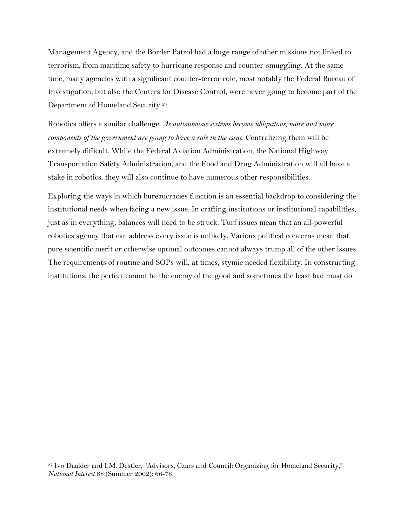Management Agency, and the Border Patrol had a huge range of other missions not linked to terrorism, from maritime safety to hurricane response and counter-smuggling. At the same time, many agencies with a significant counter-terror role, most notably the Federal Bureau of Investigation, but also the Centers for Disease Control, were never going to become part of the Department of Homeland Security.[27](#page-10-0)

Robotics offers a similar challenge. *As autonomous systems become ubiquitous, more and more components of the government are going to have a role in the issue*. Centralizing them will be extremely difficult. While the Federal Aviation Administration, the National Highway Transportation Safety Administration, and the Food and Drug Administration will all have a stake in robotics, they will also continue to have numerous other responsibilities.

Exploring the ways in which bureaucracies function is an essential backdrop to considering the institutional needs when facing a new issue. In crafting institutions or institutional capabilities, just as in everything, balances will need to be struck. Turf issues mean that an all-powerful robotics agency that can address every issue is unlikely. Various political concerns mean that pure scientific merit or otherwise optimal outcomes cannot always trump all of the other issues. The requirements of routine and SOPs will, at times, stymie needed flexibility. In constructing institutions, the perfect cannot be the enemy of the good and sometimes the least bad must do.

<span id="page-10-0"></span><sup>&</sup>lt;sup>27</sup> Ivo Daalder and I.M. Destler, "Advisors, Czars and Council: Organizing for Homeland Security," *National Interest* 68 (Summer 2002): 66-78.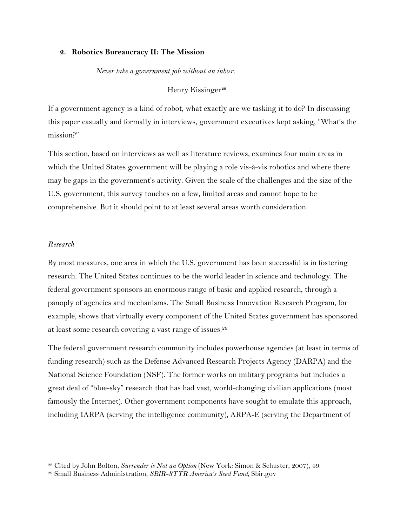#### **2. Robotics Bureaucracy II: The Mission**

#### *Never take a government job without an inbox.*

# Henry Kissinger**[28](#page-11-0)**

If a government agency is a kind of robot, what exactly are we tasking it to do? In discussing this paper casually and formally in interviews, government executives kept asking, "What's the mission?"

This section, based on interviews as well as literature reviews, examines four main areas in which the United States government will be playing a role vis-à-vis robotics and where there may be gaps in the government's activity. Given the scale of the challenges and the size of the U.S. government, this survey touches on a few, limited areas and cannot hope to be comprehensive. But it should point to at least several areas worth consideration.

#### *Research*

 $\overline{a}$ 

By most measures, one area in which the U.S. government has been successful is in fostering research. The United States continues to be the world leader in science and technology. The federal government sponsors an enormous range of basic and applied research, through a panoply of agencies and mechanisms. The Small Business Innovation Research Program, for example, shows that virtually every component of the United States government has sponsored at least some research covering a vast range of issues.[29](#page-11-1)

The federal government research community includes powerhouse agencies (at least in terms of funding research) such as the Defense Advanced Research Projects Agency (DARPA) and the National Science Foundation (NSF). The former works on military programs but includes a great deal of "blue-sky" research that has had vast, world-changing civilian applications (most famously the Internet). Other government components have sought to emulate this approach, including IARPA (serving the intelligence community), ARPA-E (serving the Department of

<span id="page-11-0"></span><sup>28</sup> Cited by John Bolton, *Surrender is Not an Option* (New York: Simon & Schuster, 2007), 49.

<span id="page-11-1"></span><sup>29</sup> Small Business Administration, *SBIR-STTR America's Seed Fund*, Sbir.gov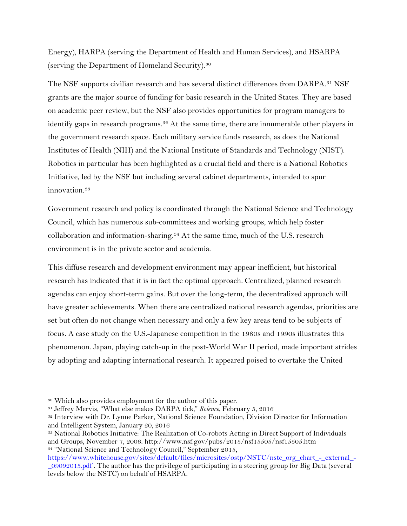Energy), HARPA (serving the Department of Health and Human Services), and HSARPA (serving the Department of Homeland Security).[30](#page-12-0)

The NSF supports civilian research and has several distinct differences from DARPA.[31](#page-12-1) NSF grants are the major source of funding for basic research in the United States. They are based on academic peer review, but the NSF also provides opportunities for program managers to identify gaps in research programs.<sup>[32](#page-12-2)</sup> At the same time, there are innumerable other players in the government research space. Each military service funds research, as does the National Institutes of Health (NIH) and the National Institute of Standards and Technology (NIST). Robotics in particular has been highlighted as a crucial field and there is a National Robotics Initiative, led by the NSF but including several cabinet departments, intended to spur innovation.<sup>[33](#page-12-3)</sup>

Government research and policy is coordinated through the National Science and Technology Council, which has numerous sub-committees and working groups, which help foster collaboration and information-sharing.[34](#page-12-4) At the same time, much of the U.S. research environment is in the private sector and academia.

This diffuse research and development environment may appear inefficient, but historical research has indicated that it is in fact the optimal approach. Centralized, planned research agendas can enjoy short-term gains. But over the long-term, the decentralized approach will have greater achievements. When there are centralized national research agendas, priorities are set but often do not change when necessary and only a few key areas tend to be subjects of focus. A case study on the U.S.-Japanese competition in the 1980s and 1990s illustrates this phenomenon. Japan, playing catch-up in the post-World War II period, made important strides by adopting and adapting international research. It appeared poised to overtake the United

<span id="page-12-0"></span><sup>30</sup> Which also provides employment for the author of this paper.

<span id="page-12-1"></span><sup>31</sup> Jeffrey Mervis, "What else makes DARPA tick," *Science*, February 5, 2016

<span id="page-12-2"></span><sup>32</sup> Interview with Dr. Lynne Parker, National Science Foundation, Division Director for Information and Intelligent System, January 20, 2016

<span id="page-12-3"></span><sup>33</sup> National Robotics Initiative: The Realization of Co-robots Acting in Direct Support of Individuals and Groups, November 7, 2006. http://www.nsf.gov/pubs/2015/nsf15505/nsf15505.htm <sup>34</sup> "National Science and Technology Council," September 2015,

<span id="page-12-4"></span>[https://www.whitehouse.gov/sites/default/files/microsites/ostp/NSTC/nstc\\_org\\_chart\\_-\\_external\\_-](https://www.whitehouse.gov/sites/default/files/microsites/ostp/NSTC/nstc_org_chart_-_external_-_09092015.pdf) [\\_09092015.pdf](https://www.whitehouse.gov/sites/default/files/microsites/ostp/NSTC/nstc_org_chart_-_external_-_09092015.pdf) . The author has the privilege of participating in a steering group for Big Data (several levels below the NSTC) on behalf of HSARPA.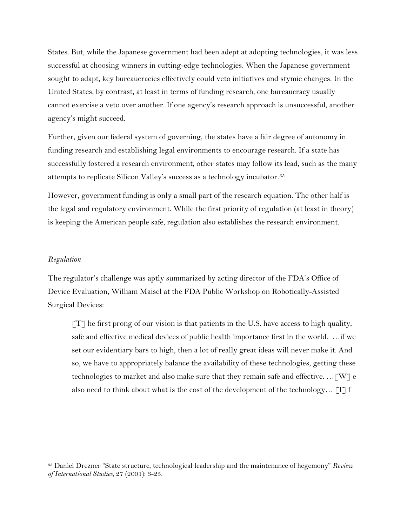States. But, while the Japanese government had been adept at adopting technologies, it was less successful at choosing winners in cutting-edge technologies. When the Japanese government sought to adapt, key bureaucracies effectively could veto initiatives and stymie changes. In the United States, by contrast, at least in terms of funding research, one bureaucracy usually cannot exercise a veto over another. If one agency's research approach is unsuccessful, another agency's might succeed.

Further, given our federal system of governing, the states have a fair degree of autonomy in funding research and establishing legal environments to encourage research. If a state has successfully fostered a research environment, other states may follow its lead, such as the many attempts to replicate Silicon Valley's success as a technology incubator.[35](#page-13-0)

However, government funding is only a small part of the research equation. The other half is the legal and regulatory environment. While the first priority of regulation (at least in theory) is keeping the American people safe, regulation also establishes the research environment.

#### *Regulation*

 $\overline{a}$ 

The regulator's challenge was aptly summarized by acting director of the FDA's Office of Device Evaluation, William Maisel at the FDA Public Workshop on Robotically-Assisted Surgical Devices:

 $TT$  he first prong of our vision is that patients in the U.S. have access to high quality, safe and effective medical devices of public health importance first in the world. …if we set our evidentiary bars to high, then a lot of really great ideas will never make it. And so, we have to appropriately balance the availability of these technologies, getting these technologies to market and also make sure that they remain safe and effective. ... [W] e also need to think about what is the cost of the development of the technology...  $\begin{bmatrix} 1 \end{bmatrix}$  f

<span id="page-13-0"></span><sup>35</sup> Daniel Drezner "State structure, technological leadership and the maintenance of hegemony" *Review of International Studies*, 27 (2001): 3-25.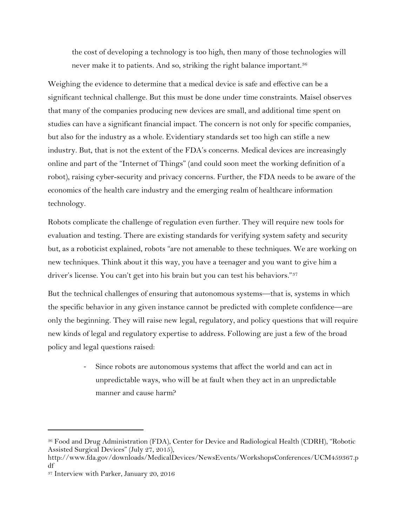the cost of developing a technology is too high, then many of those technologies will never make it to patients. And so, striking the right balance important.<sup>[36](#page-14-0)</sup>

Weighing the evidence to determine that a medical device is safe and effective can be a significant technical challenge. But this must be done under time constraints. Maisel observes that many of the companies producing new devices are small, and additional time spent on studies can have a significant financial impact. The concern is not only for specific companies, but also for the industry as a whole. Evidentiary standards set too high can stifle a new industry. But, that is not the extent of the FDA's concerns. Medical devices are increasingly online and part of the "Internet of Things" (and could soon meet the working definition of a robot), raising cyber-security and privacy concerns. Further, the FDA needs to be aware of the economics of the health care industry and the emerging realm of healthcare information technology.

Robots complicate the challenge of regulation even further. They will require new tools for evaluation and testing. There are existing standards for verifying system safety and security but, as a roboticist explained, robots "are not amenable to these techniques. We are working on new techniques. Think about it this way, you have a teenager and you want to give him a driver's license. You can't get into his brain but you can test his behaviors."[37](#page-14-1)

But the technical challenges of ensuring that autonomous systems—that is, systems in which the specific behavior in any given instance cannot be predicted with complete confidence—are only the beginning. They will raise new legal, regulatory, and policy questions that will require new kinds of legal and regulatory expertise to address. Following are just a few of the broad policy and legal questions raised:

> - Since robots are autonomous systems that affect the world and can act in unpredictable ways, who will be at fault when they act in an unpredictable manner and cause harm?

<span id="page-14-0"></span><sup>36</sup> Food and Drug Administration (FDA), Center for Device and Radiological Health (CDRH), "Robotic Assisted Surgical Devices" (July 27, 2015),

http://www.fda.gov/downloads/MedicalDevices/NewsEvents/WorkshopsConferences/UCM459367.p df

<span id="page-14-1"></span><sup>37</sup> Interview with Parker, January 20, 2016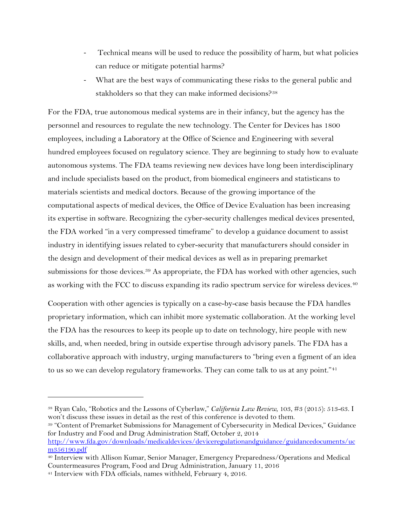- Technical means will be used to reduce the possibility of harm, but what policies can reduce or mitigate potential harms?
- What are the best ways of communicating these risks to the general public and stakholders so that they can make informed decisions?<sup>[38](#page-15-0)</sup>

For the FDA, true autonomous medical systems are in their infancy, but the agency has the personnel and resources to regulate the new technology. The Center for Devices has 1800 employees, including a Laboratory at the Office of Science and Engineering with several hundred employees focused on regulatory science. They are beginning to study how to evaluate autonomous systems. The FDA teams reviewing new devices have long been interdisciplinary and include specialists based on the product, from biomedical engineers and statisticans to materials scientists and medical doctors. Because of the growing importance of the computational aspects of medical devices, the Office of Device Evaluation has been increasing its expertise in software. Recognizing the cyber-security challenges medical devices presented, the FDA worked "in a very compressed timeframe" to develop a guidance document to assist industry in identifying issues related to cyber-security that manufacturers should consider in the design and development of their medical devices as well as in preparing premarket submissions for those devices.<sup>[39](#page-15-1)</sup> As appropriate, the FDA has worked with other agencies, such as working with the FCC to discuss expanding its radio spectrum service for wireless devices. [40](#page-15-2)

Cooperation with other agencies is typically on a case-by-case basis because the FDA handles proprietary information, which can inhibit more systematic collaboration. At the working level the FDA has the resources to keep its people up to date on technology, hire people with new skills, and, when needed, bring in outside expertise through advisory panels. The FDA has a collaborative approach with industry, urging manufacturers to "bring even a figment of an idea to us so we can develop regulatory frameworks. They can come talk to us at any point."<sup>[41](#page-15-3)</sup>

<span id="page-15-1"></span><sup>39</sup> "Content of Premarket Submissions for Management of Cybersecurity in Medical Devices," Guidance for Industry and Food and Drug Administration Staff, October 2, 2014 [http://www.fda.gov/downloads/medicaldevices/deviceregulationandguidance/guidancedocuments/uc](http://www.fda.gov/downloads/medicaldevices/deviceregulationandguidance/guidancedocuments/ucm356190.pdf)

<span id="page-15-0"></span><sup>38</sup> Ryan Calo, "Robotics and the Lessons of Cyberlaw," *California Law Review*, 103, #3 (2015): 513-63. I won't discuss these issues in detail as the rest of this conference is devoted to them.

[m356190.pdf](http://www.fda.gov/downloads/medicaldevices/deviceregulationandguidance/guidancedocuments/ucm356190.pdf)

<span id="page-15-2"></span><sup>40</sup> Interview with Allison Kumar, Senior Manager, Emergency Preparedness/Operations and Medical Countermeasures Program, Food and Drug Administration, January 11, 2016

<span id="page-15-3"></span><sup>41</sup> Interview with FDA officials, names withheld, February 4, 2016.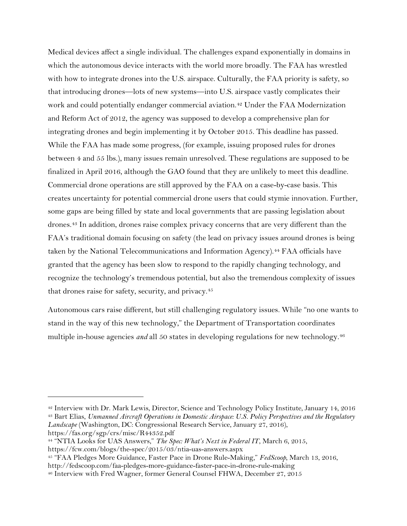Medical devices affect a single individual. The challenges expand exponentially in domains in which the autonomous device interacts with the world more broadly. The FAA has wrestled with how to integrate drones into the U.S. airspace. Culturally, the FAA priority is safety, so that introducing drones—lots of new systems—into U.S. airspace vastly complicates their work and could potentially endanger commercial aviation.<sup>[42](#page-16-0)</sup> Under the FAA Modernization and Reform Act of 2012, the agency was supposed to develop a comprehensive plan for integrating drones and begin implementing it by October 2015. This deadline has passed. While the FAA has made some progress, (for example, issuing proposed rules for drones between 4 and 55 lbs.), many issues remain unresolved. These regulations are supposed to be finalized in April 2016, although the GAO found that they are unlikely to meet this deadline. Commercial drone operations are still approved by the FAA on a case-by-case basis. This creates uncertainty for potential commercial drone users that could stymie innovation. Further, some gaps are being filled by state and local governments that are passing legislation about drones.[43](#page-16-1) In addition, drones raise complex privacy concerns that are very different than the FAA's traditional domain focusing on safety (the lead on privacy issues around drones is being taken by the National Telecommunications and Information Agency).<sup>[44](#page-16-2)</sup> FAA officials have granted that the agency has been slow to respond to the rapidly changing technology, and recognize the technology's tremendous potential, but also the tremendous complexity of issues that drones raise for safety, security, and privacy. [45](#page-16-3)

Autonomous cars raise different, but still challenging regulatory issues. While "no one wants to stand in the way of this new technology," the Department of Transportation coordinates multiple in-house agencies *and* all 50 states in developing regulations for new technology.<sup>[46](#page-16-4)</sup>

<span id="page-16-1"></span><span id="page-16-0"></span><sup>42</sup> Interview with Dr. Mark Lewis, Director, Science and Technology Policy Institute, January 14, 2016 <sup>43</sup> Bart Elias, *Unmanned Aircraft Operations in Domestic Airspace: U.S. Policy Perspectives and the Regulatory Landscape* (Washington, DC: Congressional Research Service, January 27, 2016), https://fas.org/sgp/crs/misc/R44352.pdf

<span id="page-16-2"></span><sup>44</sup> "NTIA Looks for UAS Answers," *The Spec: What's Next in Federal IT*, March 6, 2015,

https://fcw.com/blogs/the-spec/2015/03/ntia-uas-answers.aspx

<span id="page-16-3"></span><sup>45</sup> "FAA Pledges More Guidance, Faster Pace in Drone Rule-Making," *FedScoop*, March 13, 2016,

http://fedscoop.com/faa-pledges-more-guidance-faster-pace-in-drone-rule-making

<span id="page-16-4"></span><sup>46</sup> Interview with Fred Wagner, former General Counsel FHWA, December 27, 2015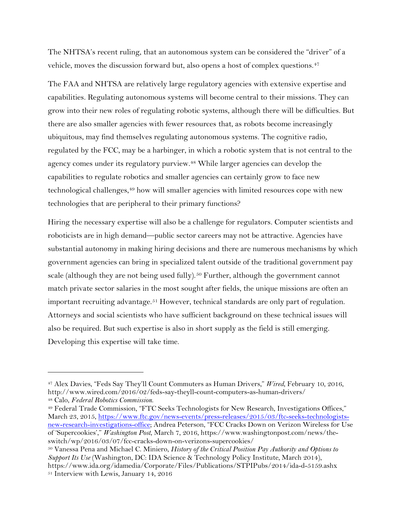The NHTSA's recent ruling, that an autonomous system can be considered the "driver" of a vehicle, moves the discussion forward but, also opens a host of complex questions.<sup>[47](#page-17-0)</sup>

The FAA and NHTSA are relatively large regulatory agencies with extensive expertise and capabilities. Regulating autonomous systems will become central to their missions. They can grow into their new roles of regulating robotic systems, although there will be difficulties. But there are also smaller agencies with fewer resources that, as robots become increasingly ubiquitous, may find themselves regulating autonomous systems. The cognitive radio, regulated by the FCC, may be a harbinger, in which a robotic system that is not central to the agency comes under its regulatory purview.<sup>[48](#page-17-1)</sup> While larger agencies can develop the capabilities to regulate robotics and smaller agencies can certainly grow to face new technological challenges,[49](#page-17-2) how will smaller agencies with limited resources cope with new technologies that are peripheral to their primary functions?

Hiring the necessary expertise will also be a challenge for regulators. Computer scientists and roboticists are in high demand—public sector careers may not be attractive. Agencies have substantial autonomy in making hiring decisions and there are numerous mechanisms by which government agencies can bring in specialized talent outside of the traditional government pay scale (although they are not being used fully).<sup>[50](#page-17-3)</sup> Further, although the government cannot match private sector salaries in the most sought after fields, the unique missions are often an important recruiting advantage.<sup>[51](#page-17-4)</sup> However, technical standards are only part of regulation. Attorneys and social scientists who have sufficient background on these technical issues will also be required. But such expertise is also in short supply as the field is still emerging. Developing this expertise will take time.

<span id="page-17-0"></span><sup>47</sup> Alex Davies, "Feds Say They'll Count Commuters as Human Drivers," *Wired*, February 10, 2016, http://www.wired.com/2016/02/feds-say-theyll-count-computers-as-human-drivers/

<span id="page-17-2"></span><span id="page-17-1"></span><sup>&</sup>lt;sup>48</sup> Calo, *Federal Robotics Commission.*<br><sup>49</sup> Federal Trade Commission, "FTC Seeks Technologists for New Research, Investigations Offices," March 23, 2015[, https://www.ftc.gov/news-events/press-releases/2015/03/ftc-seeks-technologists](https://www.ftc.gov/news-events/press-releases/2015/03/ftc-seeks-technologists-new-research-investigations-office)[new-research-investigations-office;](https://www.ftc.gov/news-events/press-releases/2015/03/ftc-seeks-technologists-new-research-investigations-office) Andrea Peterson, "FCC Cracks Down on Verizon Wireless for Use of 'Supercookies'," *Washington Post*, March 7, 2016, https://www.washingtonpost.com/news/theswitch/wp/2016/03/07/fcc-cracks-down-on-verizons-supercookies/

<span id="page-17-4"></span><span id="page-17-3"></span><sup>50</sup> Vanessa Pena and Michael C. Miniero, *History of the Critical Position Pay Authority and Options to Support Its Use* (Washington, DC: IDA Science & Technology Policy Institute, March 2014), https://www.ida.org/idamedia/Corporate/Files/Publications/STPIPubs/2014/ida-d-5159.ashx <sup>51</sup> Interview with Lewis, January 14, 2016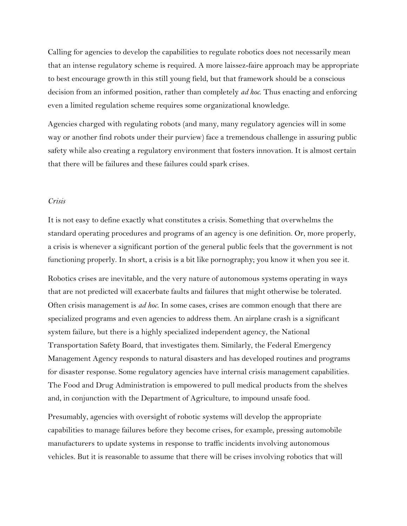Calling for agencies to develop the capabilities to regulate robotics does not necessarily mean that an intense regulatory scheme is required. A more laissez-faire approach may be appropriate to best encourage growth in this still young field, but that framework should be a conscious decision from an informed position, rather than completely *ad hoc*. Thus enacting and enforcing even a limited regulation scheme requires some organizational knowledge.

Agencies charged with regulating robots (and many, many regulatory agencies will in some way or another find robots under their purview) face a tremendous challenge in assuring public safety while also creating a regulatory environment that fosters innovation. It is almost certain that there will be failures and these failures could spark crises.

## *Crisis*

It is not easy to define exactly what constitutes a crisis. Something that overwhelms the standard operating procedures and programs of an agency is one definition. Or, more properly, a crisis is whenever a significant portion of the general public feels that the government is not functioning properly. In short, a crisis is a bit like pornography; you know it when you see it.

Robotics crises are inevitable, and the very nature of autonomous systems operating in ways that are not predicted will exacerbate faults and failures that might otherwise be tolerated. Often crisis management is *ad hoc*. In some cases, crises are common enough that there are specialized programs and even agencies to address them. An airplane crash is a significant system failure, but there is a highly specialized independent agency, the National Transportation Safety Board, that investigates them. Similarly, the Federal Emergency Management Agency responds to natural disasters and has developed routines and programs for disaster response. Some regulatory agencies have internal crisis management capabilities. The Food and Drug Administration is empowered to pull medical products from the shelves and, in conjunction with the Department of Agriculture, to impound unsafe food.

Presumably, agencies with oversight of robotic systems will develop the appropriate capabilities to manage failures before they become crises, for example, pressing automobile manufacturers to update systems in response to traffic incidents involving autonomous vehicles. But it is reasonable to assume that there will be crises involving robotics that will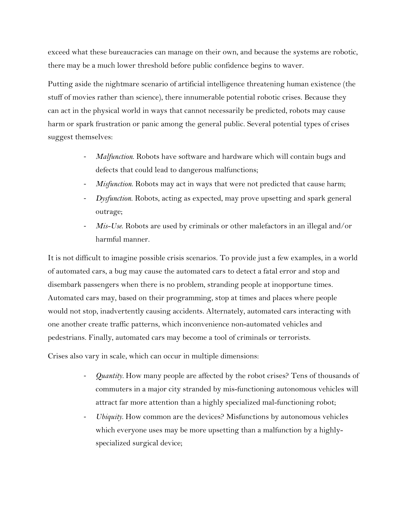exceed what these bureaucracies can manage on their own, and because the systems are robotic, there may be a much lower threshold before public confidence begins to waver.

Putting aside the nightmare scenario of artificial intelligence threatening human existence (the stuff of movies rather than science), there innumerable potential robotic crises. Because they can act in the physical world in ways that cannot necessarily be predicted, robots may cause harm or spark frustration or panic among the general public. Several potential types of crises suggest themselves:

- *Malfunction*. Robots have software and hardware which will contain bugs and defects that could lead to dangerous malfunctions;
- *Misfunction*. Robots may act in ways that were not predicted that cause harm;
- *Dysfunction*. Robots, acting as expected, may prove upsetting and spark general outrage;
- *Mis-Use*. Robots are used by criminals or other malefactors in an illegal and/or harmful manner.

It is not difficult to imagine possible crisis scenarios. To provide just a few examples, in a world of automated cars, a bug may cause the automated cars to detect a fatal error and stop and disembark passengers when there is no problem, stranding people at inopportune times. Automated cars may, based on their programming, stop at times and places where people would not stop, inadvertently causing accidents. Alternately, automated cars interacting with one another create traffic patterns, which inconvenience non-automated vehicles and pedestrians. Finally, automated cars may become a tool of criminals or terrorists.

Crises also vary in scale, which can occur in multiple dimensions:

- *Quantity.* How many people are affected by the robot crises? Tens of thousands of commuters in a major city stranded by mis-functioning autonomous vehicles will attract far more attention than a highly specialized mal-functioning robot;
- *Ubiquity*. How common are the devices? Misfunctions by autonomous vehicles which everyone uses may be more upsetting than a malfunction by a highlyspecialized surgical device;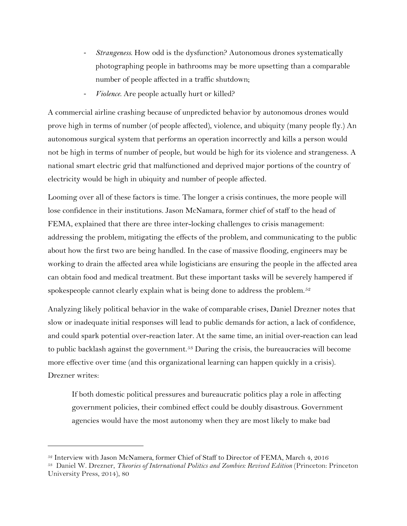- *Strangeness*. How odd is the dysfunction? Autonomous drones systematically photographing people in bathrooms may be more upsetting than a comparable number of people affected in a traffic shutdown;
- *Violence*. Are people actually hurt or killed?

A commercial airline crashing because of unpredicted behavior by autonomous drones would prove high in terms of number (of people affected), violence, and ubiquity (many people fly.) An autonomous surgical system that performs an operation incorrectly and kills a person would not be high in terms of number of people, but would be high for its violence and strangeness. A national smart electric grid that malfunctioned and deprived major portions of the country of electricity would be high in ubiquity and number of people affected.

Looming over all of these factors is time. The longer a crisis continues, the more people will lose confidence in their institutions. Jason McNamara, former chief of staff to the head of FEMA, explained that there are three inter-locking challenges to crisis management: addressing the problem, mitigating the effects of the problem, and communicating to the public about how the first two are being handled. In the case of massive flooding, engineers may be working to drain the affected area while logisticians are ensuring the people in the affected area can obtain food and medical treatment. But these important tasks will be severely hampered if spokespeople cannot clearly explain what is being done to address the problem.<sup>[52](#page-20-0)</sup>

Analyzing likely political behavior in the wake of comparable crises, Daniel Drezner notes that slow or inadequate initial responses will lead to public demands for action, a lack of confidence, and could spark potential over-reaction later. At the same time, an initial over-reaction can lead to public backlash against the government.<sup>[53](#page-20-1)</sup> During the crisis, the bureaucracies will become more effective over time (and this organizational learning can happen quickly in a crisis). Drezner writes:

If both domestic political pressures and bureaucratic politics play a role in affecting government policies, their combined effect could be doubly disastrous. Government agencies would have the most autonomy when they are most likely to make bad

<span id="page-20-0"></span><sup>52</sup> Interview with Jason McNamera, former Chief of Staff to Director of FEMA, March 4, 2016

<span id="page-20-1"></span><sup>53</sup> Daniel W. Drezner, *Theories of International Politics and Zombies: Revived Edition* (Princeton: Princeton University Press, 2014), 80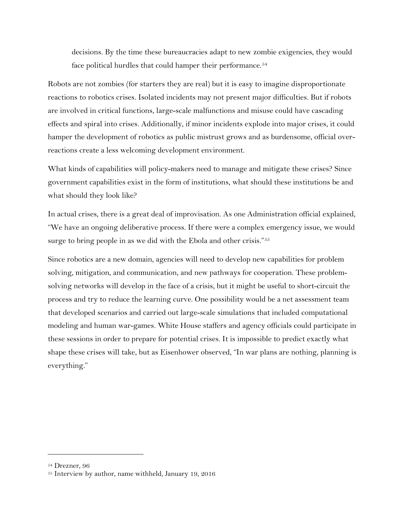decisions. By the time these bureaucracies adapt to new zombie exigencies, they would face political hurdles that could hamper their performance.<sup>[54](#page-21-0)</sup>

Robots are not zombies (for starters they are real) but it is easy to imagine disproportionate reactions to robotics crises. Isolated incidents may not present major difficulties. But if robots are involved in critical functions, large-scale malfunctions and misuse could have cascading effects and spiral into crises. Additionally, if minor incidents explode into major crises, it could hamper the development of robotics as public mistrust grows and as burdensome, official overreactions create a less welcoming development environment.

What kinds of capabilities will policy-makers need to manage and mitigate these crises? Since government capabilities exist in the form of institutions, what should these institutions be and what should they look like?

In actual crises, there is a great deal of improvisation. As one Administration official explained, "We have an ongoing deliberative process. If there were a complex emergency issue, we would surge to bring people in as we did with the Ebola and other crisis."<sup>[55](#page-21-1)</sup>

Since robotics are a new domain, agencies will need to develop new capabilities for problem solving, mitigation, and communication, and new pathways for cooperation. These problemsolving networks will develop in the face of a crisis, but it might be useful to short-circuit the process and try to reduce the learning curve. One possibility would be a net assessment team that developed scenarios and carried out large-scale simulations that included computational modeling and human war-games. White House staffers and agency officials could participate in these sessions in order to prepare for potential crises. It is impossible to predict exactly what shape these crises will take, but as Eisenhower observed, "In war plans are nothing, planning is everything."

<span id="page-21-0"></span><sup>54</sup> Drezner, 96

<span id="page-21-1"></span><sup>55</sup> Interview by author, name withheld, January 19, 2016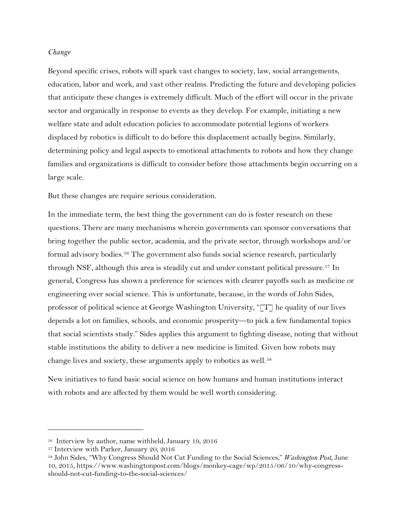#### *Change*

Beyond specific crises, robots will spark vast changes to society, law, social arrangements, education, labor and work, and vast other realms. Predicting the future and developing policies that anticipate these changes is extremely difficult. Much of the effort will occur in the private sector and organically in response to events as they develop. For example, initiating a new welfare state and adult education policies to accommodate potential legions of workers displaced by robotics is difficult to do before this displacement actually begins. Similarly, determining policy and legal aspects to emotional attachments to robots and how they change families and organizations is difficult to consider before those attachments begin occurring on a large scale.

But these changes are require serious consideration.

In the immediate term, the best thing the government can do is foster research on these questions. There are many mechanisms wherein governments can sponsor conversations that bring together the public sector, academia, and the private sector, through workshops and/or formal advisory bodies.[56](#page-22-0) The government also funds social science research, particularly through NSF, although this area is steadily cut and under constant political pressure.<sup>[57](#page-22-1)</sup> In general, Congress has shown a preference for sciences with clearer payoffs such as medicine or engineering over social science. This is unfortunate, because, in the words of John Sides, professor of political science at George Washington University, "[T] he quality of our lives depends a lot on families, schools, and economic prosperity—to pick a few fundamental topics that social scientists study." Sides applies this argument to fighting disease, noting that without stable institutions the ability to deliver a new medicine is limited. Given how robots may change lives and society, these arguments apply to robotics as well.<sup>[58](#page-22-2)</sup>

New initiatives to fund basic social science on how humans and human institutions interact with robots and are affected by them would be well worth considering.

<span id="page-22-0"></span><sup>56</sup> Interview by author, name withheld, January 19, 2016

<span id="page-22-1"></span><sup>57</sup> Interview with Parker, January 20, 2016

<span id="page-22-2"></span><sup>58</sup> John Sides, "Why Congress Should Not Cut Funding to the Social Sciences," *Washington Post*, June 10, 2015, https://www.washingtonpost.com/blogs/monkey-cage/wp/2015/06/10/why-congressshould-not-cut-funding-to-the-social-sciences/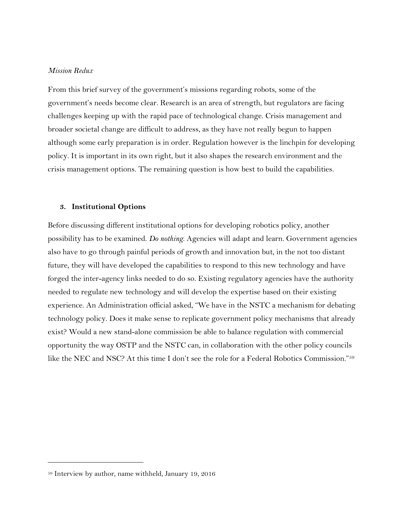# *Mission Redux*

From this brief survey of the government's missions regarding robots, some of the government's needs become clear. Research is an area of strength, but regulators are facing challenges keeping up with the rapid pace of technological change. Crisis management and broader societal change are difficult to address, as they have not really begun to happen although some early preparation is in order. Regulation however is the linchpin for developing policy. It is important in its own right, but it also shapes the research environment and the crisis management options. The remaining question is how best to build the capabilities.

#### **3. Institutional Options**

Before discussing different institutional options for developing robotics policy, another possibility has to be examined. *Do nothing*. Agencies will adapt and learn. Government agencies also have to go through painful periods of growth and innovation but, in the not too distant future, they will have developed the capabilities to respond to this new technology and have forged the inter-agency links needed to do so. Existing regulatory agencies have the authority needed to regulate new technology and will develop the expertise based on their existing experience. An Administration official asked, "We have in the NSTC a mechanism for debating technology policy. Does it make sense to replicate government policy mechanisms that already exist? Would a new stand-alone commission be able to balance regulation with commercial opportunity the way OSTP and the NSTC can, in collaboration with the other policy councils like the NEC and NSC? At this time I don't see the role for a Federal Robotics Commission.["59](#page-23-0)

 $\ddot{\phantom{a}}$ 

<span id="page-23-0"></span><sup>59</sup> Interview by author, name withheld, January 19, 2016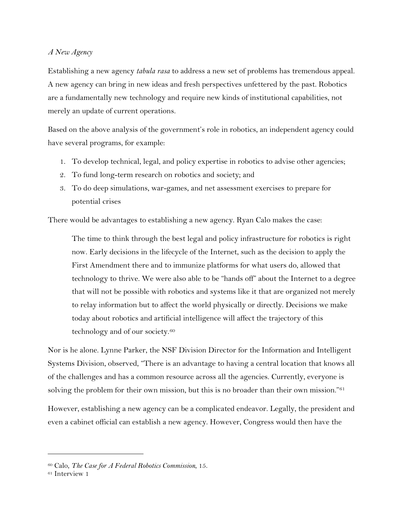# *A New Agency*

Establishing a new agency *tabula rasa* to address a new set of problems has tremendous appeal. A new agency can bring in new ideas and fresh perspectives unfettered by the past. Robotics are a fundamentally new technology and require new kinds of institutional capabilities, not merely an update of current operations.

Based on the above analysis of the government's role in robotics, an independent agency could have several programs, for example:

- 1. To develop technical, legal, and policy expertise in robotics to advise other agencies;
- 2. To fund long-term research on robotics and society; and
- 3. To do deep simulations, war-games, and net assessment exercises to prepare for potential crises

There would be advantages to establishing a new agency. Ryan Calo makes the case:

The time to think through the best legal and policy infrastructure for robotics is right now. Early decisions in the lifecycle of the Internet, such as the decision to apply the First Amendment there and to immunize platforms for what users do, allowed that technology to thrive. We were also able to be "hands off" about the Internet to a degree that will not be possible with robotics and systems like it that are organized not merely to relay information but to affect the world physically or directly. Decisions we make today about robotics and artificial intelligence will affect the trajectory of this technology and of our society.<sup>[60](#page-24-0)</sup>

Nor is he alone. Lynne Parker, the NSF Division Director for the Information and Intelligent Systems Division, observed, "There is an advantage to having a central location that knows all of the challenges and has a common resource across all the agencies. Currently, everyone is solving the problem for their own mission, but this is no broader than their own mission."<sup>[61](#page-24-1)</sup>

However, establishing a new agency can be a complicated endeavor. Legally, the president and even a cabinet official can establish a new agency. However, Congress would then have the

<span id="page-24-0"></span><sup>60</sup> Calo, *The Case for A Federal Robotics Commission*, 15. 61 Interview 1

<span id="page-24-1"></span>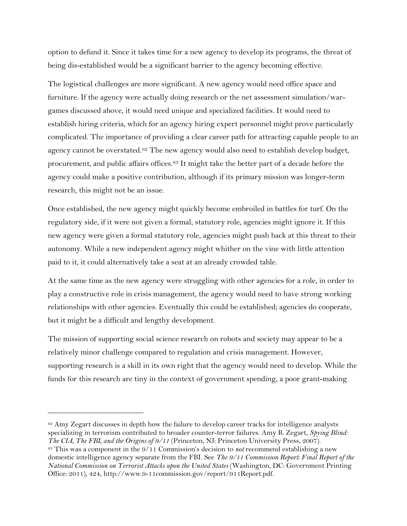option to defund it. Since it takes time for a new agency to develop its programs, the threat of being dis-established would be a significant barrier to the agency becoming effective.

The logistical challenges are more significant. A new agency would need office space and furniture. If the agency were actually doing research or the net assessment simulation/wargames discussed above, it would need unique and specialized facilities. It would need to establish hiring criteria, which for an agency hiring expert personnel might prove particularly complicated. The importance of providing a clear career path for attracting capable people to an agency cannot be overstated.<sup>[62](#page-25-0)</sup> The new agency would also need to establish develop budget, procurement, and public affairs offices.[63](#page-25-1) It might take the better part of a decade before the agency could make a positive contribution, although if its primary mission was longer-term research, this might not be an issue.

Once established, the new agency might quickly become embroiled in battles for turf. On the regulatory side, if it were not given a formal, statutory role, agencies might ignore it. If this new agency were given a formal statutory role, agencies might push back at this threat to their autonomy. While a new independent agency might whither on the vine with little attention paid to it, it could alternatively take a seat at an already crowded table.

At the same time as the new agency were struggling with other agencies for a role, in order to play a constructive role in crisis management, the agency would need to have strong working relationships with other agencies. Eventually this could be established; agencies do cooperate, but it might be a difficult and lengthy development.

The mission of supporting social science research on robots and society may appear to be a relatively minor challenge compared to regulation and crisis management. However, supporting research is a skill in its own right that the agency would need to develop. While the funds for this research are tiny in the context of government spending, a poor grant-making

<span id="page-25-1"></span><span id="page-25-0"></span> $62$  Amy Zegart discusses in depth how the failure to develop career tracks for intelligence analysts specializing in terrorism contributed to broader counter-terror failures. Amy B. Zegart, *Spying Blind: The CIA, The FBI, and the Origins of 9/11* (Princeton, NJ: Princeton University Press, 2007). 63 This was a component in the 9/11 Commission's decision to *not* recommend establishing a new domestic intelligence agency separate from the FBI. See *The 9/11 Commission Report: Final Report of the National Commission on Terrorist Attacks upon the United States* (Washington, DC: Government Printing Office: 2011), 424, http://www.9-11commission.gov/report/911Report.pdf.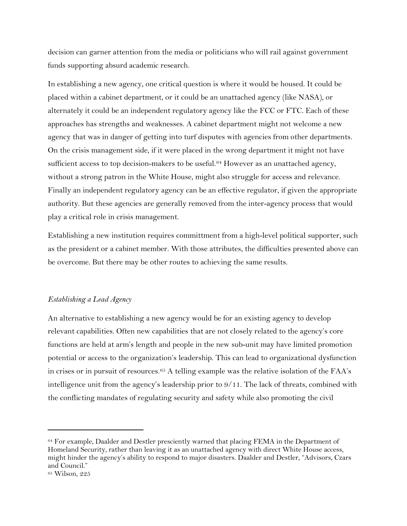decision can garner attention from the media or politicians who will rail against government funds supporting absurd academic research.

In establishing a new agency, one critical question is where it would be housed. It could be placed within a cabinet department, or it could be an unattached agency (like NASA), or alternately it could be an independent regulatory agency like the FCC or FTC. Each of these approaches has strengths and weaknesses. A cabinet department might not welcome a new agency that was in danger of getting into turf disputes with agencies from other departments. On the crisis management side, if it were placed in the wrong department it might not have sufficient access to top decision-makers to be useful.<sup>[64](#page-26-0)</sup> However as an unattached agency, without a strong patron in the White House, might also struggle for access and relevance. Finally an independent regulatory agency can be an effective regulator, if given the appropriate authority. But these agencies are generally removed from the inter-agency process that would play a critical role in crisis management.

Establishing a new institution requires committment from a high-level political supporter, such as the president or a cabinet member. With those attributes, the difficulties presented above can be overcome. But there may be other routes to achieving the same results.

# *Establishing a Lead Agency*

An alternative to establishing a new agency would be for an existing agency to develop relevant capabilities. Often new capabilities that are not closely related to the agency's core functions are held at arm's length and people in the new sub-unit may have limited promotion potential or access to the organization's leadership. This can lead to organizational dysfunction in crises or in pursuit of resources.[65](#page-26-1) A telling example was the relative isolation of the FAA's intelligence unit from the agency's leadership prior to 9/11. The lack of threats, combined with the conflicting mandates of regulating security and safety while also promoting the civil

<span id="page-26-0"></span><sup>64</sup> For example, Daalder and Destler presciently warned that placing FEMA in the Department of Homeland Security, rather than leaving it as an unattached agency with direct White House access, might hinder the agency's ability to respond to major disasters. Daalder and Destler, "Advisors, Czars and Council."

<span id="page-26-1"></span><sup>65</sup> Wilson, 225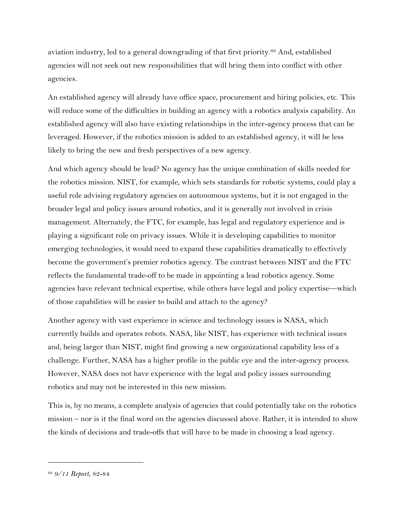aviation industry, led to a general downgrading of that first priority.[66](#page-27-0) And, established agencies will not seek out new responsibilities that will bring them into conflict with other agencies.

An established agency will already have office space, procurement and hiring policies, etc. This will reduce some of the difficulties in building an agency with a robotics analysis capability. An established agency will also have existing relationships in the inter-agency process that can be leveraged. However, if the robotics mission is added to an established agency, it will be less likely to bring the new and fresh perspectives of a new agency.

And which agency should be lead? No agency has the unique combination of skills needed for the robotics mission. NIST, for example, which sets standards for robotic systems, could play a useful role advising regulatory agencies on autonomous systems, but it is not engaged in the broader legal and policy issues around robotics, and it is generally not involved in crisis management. Alternately, the FTC, for example, has legal and regulatory experience and is playing a significant role on privacy issues. While it is developing capabilities to monitor emerging technologies, it would need to expand these capabilities dramatically to effectively become the government's premier robotics agency. The contrast between NIST and the FTC reflects the fundamental trade-off to be made in appointing a lead robotics agency. Some agencies have relevant technical expertise, while others have legal and policy expertise—which of those capabilities will be easier to build and attach to the agency?

Another agency with vast experience in science and technology issues is NASA, which currently builds and operates robots. NASA, like NIST, has experience with technical issues and, being larger than NIST, might find growing a new organizational capability less of a challenge. Further, NASA has a higher profile in the public eye and the inter-agency process. However, NASA does not have experience with the legal and policy issues surrounding robotics and may not be interested in this new mission.

This is, by no means, a complete analysis of agencies that could potentially take on the robotics mission – nor is it the final word on the agencies discussed above. Rather, it is intended to show the kinds of decisions and trade-offs that will have to be made in choosing a lead agency.

<span id="page-27-0"></span><sup>66</sup> *9/11 Report*, 82-84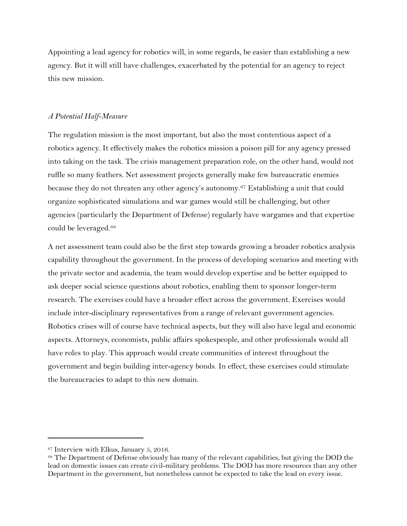Appointing a lead agency for robotics will, in some regards, be easier than establishing a new agency. But it will still have challenges, exacerbated by the potential for an agency to reject this new mission.

# *A Potential Half-Measure*

The regulation mission is the most important, but also the most contentious aspect of a robotics agency. It effectively makes the robotics mission a poison pill for any agency pressed into taking on the task. The crisis management preparation role, on the other hand, would not ruffle so many feathers. Net assessment projects generally make few bureaucratic enemies because they do not threaten any other agency's autonomy.[67](#page-28-0) Establishing a unit that could organize sophisticated simulations and war games would still be challenging, but other agencies (particularly the Department of Defense) regularly have wargames and that expertise could be leveraged.[68](#page-28-1)

A net assessment team could also be the first step towards growing a broader robotics analysis capability throughout the government. In the process of developing scenarios and meeting with the private sector and academia, the team would develop expertise and be better equipped to ask deeper social science questions about robotics, enabling them to sponsor longer-term research. The exercises could have a broader effect across the government. Exercises would include inter-disciplinary representatives from a range of relevant government agencies. Robotics crises will of course have technical aspects, but they will also have legal and economic aspects. Attorneys, economists, public affairs spokespeople, and other professionals would all have roles to play. This approach would create communities of interest throughout the government and begin building inter-agency bonds. In effect, these exercises could stimulate the bureaucracies to adapt to this new domain.

<span id="page-28-0"></span><sup>&</sup>lt;sup>67</sup> Interview with Elkus, January 5, 2016.

<span id="page-28-1"></span><sup>&</sup>lt;sup>68</sup> The Department of Defense obviously has many of the relevant capabilities, but giving the DOD the lead on domestic issues can create civil-military problems. The DOD has more resources than any other Department in the government, but nonetheless cannot be expected to take the lead on every issue.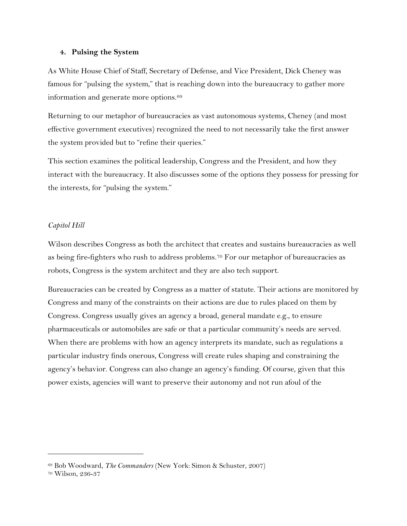## **4. Pulsing the System**

As White House Chief of Staff, Secretary of Defense, and Vice President, Dick Cheney was famous for "pulsing the system," that is reaching down into the bureaucracy to gather more information and generate more options.<sup>[69](#page-29-0)</sup>

Returning to our metaphor of bureaucracies as vast autonomous systems, Cheney (and most effective government executives) recognized the need to not necessarily take the first answer the system provided but to "refine their queries."

This section examines the political leadership, Congress and the President, and how they interact with the bureaucracy. It also discusses some of the options they possess for pressing for the interests, for "pulsing the system."

# *Capitol Hill*

Wilson describes Congress as both the architect that creates and sustains bureaucracies as well as being fire-fighters who rush to address problems.<sup>[70](#page-29-1)</sup> For our metaphor of bureaucracies as robots, Congress is the system architect and they are also tech support.

Bureaucracies can be created by Congress as a matter of statute. Their actions are monitored by Congress and many of the constraints on their actions are due to rules placed on them by Congress. Congress usually gives an agency a broad, general mandate e.g., to ensure pharmaceuticals or automobiles are safe or that a particular community's needs are served. When there are problems with how an agency interprets its mandate, such as regulations a particular industry finds onerous, Congress will create rules shaping and constraining the agency's behavior. Congress can also change an agency's funding. Of course, given that this power exists, agencies will want to preserve their autonomy and not run afoul of the

<span id="page-29-0"></span><sup>69</sup> Bob Woodward, *The Commanders* (New York: Simon & Schuster, 2007)

<span id="page-29-1"></span><sup>70</sup> Wilson, 236-37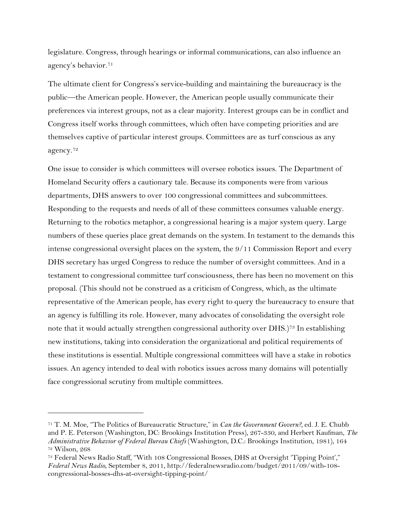legislature. Congress, through hearings or informal communications, can also influence an agency's behavior.[71](#page-30-0)

The ultimate client for Congress's service-building and maintaining the bureaucracy is the public—the American people. However, the American people usually communicate their preferences via interest groups, not as a clear majority. Interest groups can be in conflict and Congress itself works through committees, which often have competing priorities and are themselves captive of particular interest groups. Committees are as turf conscious as any agency.[72](#page-30-1)

One issue to consider is which committees will oversee robotics issues. The Department of Homeland Security offers a cautionary tale. Because its components were from various departments, DHS answers to over 100 congressional committees and subcommittees. Responding to the requests and needs of all of these committees consumes valuable energy. Returning to the robotics metaphor, a congressional hearing is a major system query. Large numbers of these queries place great demands on the system. In testament to the demands this intense congressional oversight places on the system, the 9/11 Commission Report and every DHS secretary has urged Congress to reduce the number of oversight committees. And in a testament to congressional committee turf consciousness, there has been no movement on this proposal. (This should not be construed as a criticism of Congress, which, as the ultimate representative of the American people, has every right to query the bureaucracy to ensure that an agency is fulfilling its role. However, many advocates of consolidating the oversight role note that it would actually strengthen congressional authority over DHS.[\)73](#page-30-2) In establishing new institutions, taking into consideration the organizational and political requirements of these institutions is essential. Multiple congressional committees will have a stake in robotics issues. An agency intended to deal with robotics issues across many domains will potentially face congressional scrutiny from multiple committees.

<span id="page-30-0"></span><sup>71</sup> T. M. Moe, "The Politics of Bureaucratic Structure," in *Can the Government Govern?,* ed. J. E. Chubb and P. E. Peterson (Washington, DC: Brookings Institution Press), 267-330, and Herbert Kaufman, *The Administrative Behavior of Federal Bureau Chiefs* (Washington, D.C.: Brookings Institution, 1981), 164 <sup>72</sup> Wilson, 268

<span id="page-30-2"></span><span id="page-30-1"></span><sup>73</sup> Federal News Radio Staff, "With 108 Congressional Bosses, DHS at Oversight 'Tipping Point'," *Federal News Radio*, September 8, 2011, http://federalnewsradio.com/budget/2011/09/with-108 congressional-bosses-dhs-at-oversight-tipping-point/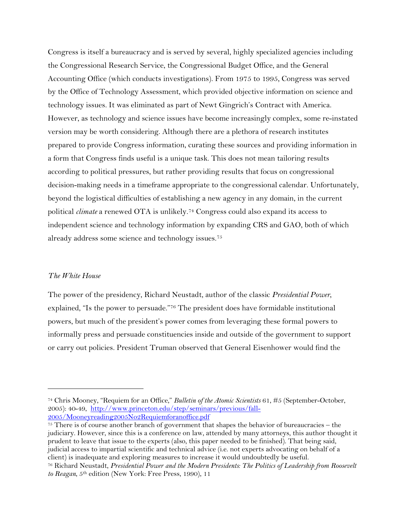Congress is itself a bureaucracy and is served by several, highly specialized agencies including the Congressional Research Service, the Congressional Budget Office, and the General Accounting Office (which conducts investigations). From 1975 to 1995, Congress was served by the Office of Technology Assessment, which provided objective information on science and technology issues. It was eliminated as part of Newt Gingrich's Contract with America. However, as technology and science issues have become increasingly complex, some re-instated version may be worth considering. Although there are a plethora of research institutes prepared to provide Congress information, curating these sources and providing information in a form that Congress finds useful is a unique task. This does not mean tailoring results according to political pressures, but rather providing results that focus on congressional decision-making needs in a timeframe appropriate to the congressional calendar. Unfortunately, beyond the logistical difficulties of establishing a new agency in any domain, in the current political *climate* a renewed OTA is unlikely.[74](#page-31-0) Congress could also expand its access to independent science and technology information by expanding CRS and GAO, both of which already address some science and technology issues[.75](#page-31-1)

#### *The White House*

 $\overline{a}$ 

The power of the presidency, Richard Neustadt, author of the classic *Presidential Power*, explained, "Is the power to persuade.["76](#page-31-2) The president does have formidable institutional powers, but much of the president's power comes from leveraging these formal powers to informally press and persuade constituencies inside and outside of the government to support or carry out policies. President Truman observed that General Eisenhower would find the

<span id="page-31-1"></span><sup>75</sup> There is of course another branch of government that shapes the behavior of bureaucracies – the judiciary. However, since this is a conference on law, attended by many attorneys, this author thought it prudent to leave that issue to the experts (also, this paper needed to be finished). That being said, judicial access to impartial scientific and technical advice (i.e. not experts advocating on behalf of a client) is inadequate and exploring measures to increase it would undoubtedly be useful. 76 Richard Neustadt, *Presidential Power and the Modern Presidents: The Politics of Leadership from Roosevelt* 

<span id="page-31-0"></span><sup>74</sup> Chris Mooney, "Requiem for an Office," *Bulletin of the Atomic Scientists* 61, #5 (September-October, 2005): 40-49, [http://www.princeton.edu/step/seminars/previous/fall-](http://www.princeton.edu/step/seminars/previous/fall-2005/Mooneyreading2005No2Requiemforanoffice.pdf)[2005/Mooneyreading2005No2Requiemforanoffice.pdf](http://www.princeton.edu/step/seminars/previous/fall-2005/Mooneyreading2005No2Requiemforanoffice.pdf)

<span id="page-31-2"></span>*to Reagan*, 5th edition (New York: Free Press, 1990), 11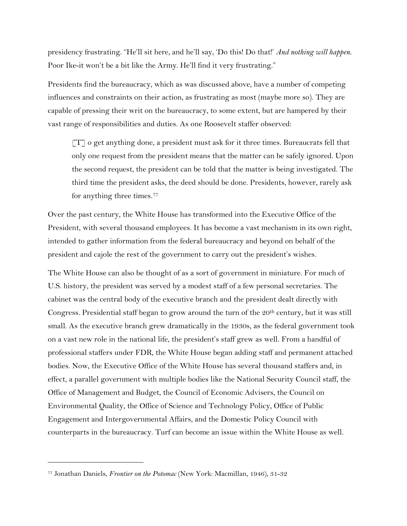presidency frustrating. "He'll sit here, and he'll say, 'Do this! Do that!' *And nothing will happen.*  Poor Ike-it won't be a bit like the Army. He'll find it very frustrating."

Presidents find the bureaucracy, which as was discussed above, have a number of competing influences and constraints on their action, as frustrating as most (maybe more so). They are capable of pressing their writ on the bureaucracy, to some extent, but are hampered by their vast range of responsibilities and duties. As one Roosevelt staffer observed:

 $[T]$  o get anything done, a president must ask for it three times. Bureaucrats fell that only one request from the president means that the matter can be safely ignored. Upon the second request, the president can be told that the matter is being investigated. The third time the president asks, the deed should be done. Presidents, however, rarely ask for anything three times.<sup>[77](#page-32-0)</sup>

Over the past century, the White House has transformed into the Executive Office of the President, with several thousand employees. It has become a vast mechanism in its own right, intended to gather information from the federal bureaucracy and beyond on behalf of the president and cajole the rest of the government to carry out the president's wishes.

The White House can also be thought of as a sort of government in miniature. For much of U.S. history, the president was served by a modest staff of a few personal secretaries. The cabinet was the central body of the executive branch and the president dealt directly with Congress. Presidential staff began to grow around the turn of the 20<sup>th</sup> century, but it was still small. As the executive branch grew dramatically in the 1930s, as the federal government took on a vast new role in the national life, the president's staff grew as well. From a handful of professional staffers under FDR, the White House began adding staff and permanent attached bodies. Now, the Executive Office of the White House has several thousand staffers and, in effect, a parallel government with multiple bodies like the National Security Council staff, the Office of Management and Budget, the Council of Economic Advisers, the Council on Environmental Quality, the Office of Science and Technology Policy, Office of Public Engagement and Intergovernmental Affairs, and the Domestic Policy Council with counterparts in the bureaucracy. Turf can become an issue within the White House as well.

<span id="page-32-0"></span><sup>77</sup> Jonathan Daniels, *Frontier on the Potomac* (New York: Macmillan, 1946), 31-32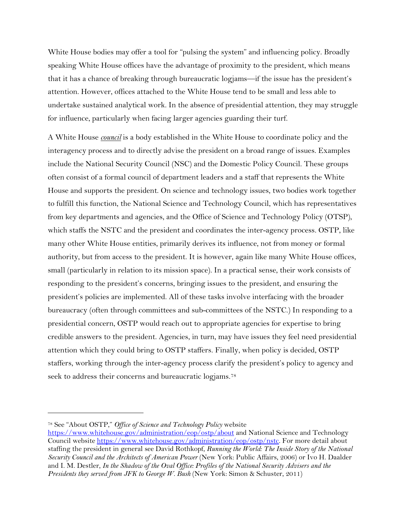White House bodies may offer a tool for "pulsing the system" and influencing policy. Broadly speaking White House offices have the advantage of proximity to the president, which means that it has a chance of breaking through bureaucratic logjams—if the issue has the president's attention. However, offices attached to the White House tend to be small and less able to undertake sustained analytical work. In the absence of presidential attention, they may struggle for influence, particularly when facing larger agencies guarding their turf.

A White House *council* is a body established in the White House to coordinate policy and the interagency process and to directly advise the president on a broad range of issues. Examples include the National Security Council (NSC) and the Domestic Policy Council. These groups often consist of a formal council of department leaders and a staff that represents the White House and supports the president. On science and technology issues, two bodies work together to fulfill this function, the National Science and Technology Council, which has representatives from key departments and agencies, and the Office of Science and Technology Policy (OTSP), which staffs the NSTC and the president and coordinates the inter-agency process. OSTP, like many other White House entities, primarily derives its influence, not from money or formal authority, but from access to the president. It is however, again like many White House offices, small (particularly in relation to its mission space). In a practical sense, their work consists of responding to the president's concerns, bringing issues to the president, and ensuring the president's policies are implemented. All of these tasks involve interfacing with the broader bureaucracy (often through committees and sub-committees of the NSTC.) In responding to a presidential concern, OSTP would reach out to appropriate agencies for expertise to bring credible answers to the president. Agencies, in turn, may have issues they feel need presidential attention which they could bring to OSTP staffers. Finally, when policy is decided, OSTP staffers, working through the inter-agency process clarify the president's policy to agency and seek to address their concerns and bureaucratic logiams.<sup>[78](#page-33-0)</sup>

<span id="page-33-0"></span><sup>78</sup> See "About OSTP," *Office of Science and Technology Policy* website

<https://www.whitehouse.gov/administration/eop/ostp/about> and National Science and Technology Council website [https://www.whitehouse.gov/administration/eop/ostp/nstc.](https://www.whitehouse.gov/administration/eop/ostp/nstc) For more detail about staffing the president in general see David Rothkopf, *Running the World: The Inside Story of the National Security Council and the Architects of American Power* (New York: Public Affairs, 2006) or Ivo H. Daalder and I. M. Destler, *In the Shadow of the Oval Office: Profiles of the National Security Advisers and the Presidents they served from JFK to George W. Bush* (New York: Simon & Schuster, 2011)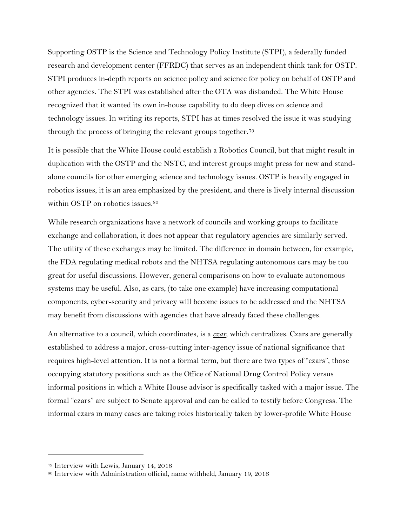Supporting OSTP is the Science and Technology Policy Institute (STPI), a federally funded research and development center (FFRDC) that serves as an independent think tank for OSTP. STPI produces in-depth reports on science policy and science for policy on behalf of OSTP and other agencies. The STPI was established after the OTA was disbanded. The White House recognized that it wanted its own in-house capability to do deep dives on science and technology issues. In writing its reports, STPI has at times resolved the issue it was studying through the process of bringing the relevant groups together.[79](#page-34-0)

It is possible that the White House could establish a Robotics Council, but that might result in duplication with the OSTP and the NSTC, and interest groups might press for new and standalone councils for other emerging science and technology issues. OSTP is heavily engaged in robotics issues, it is an area emphasized by the president, and there is lively internal discussion within OSTP on robotics issues.<sup>[80](#page-34-1)</sup>

While research organizations have a network of councils and working groups to facilitate exchange and collaboration, it does not appear that regulatory agencies are similarly served. The utility of these exchanges may be limited. The difference in domain between, for example, the FDA regulating medical robots and the NHTSA regulating autonomous cars may be too great for useful discussions. However, general comparisons on how to evaluate autonomous systems may be useful. Also, as cars, (to take one example) have increasing computational components, cyber-security and privacy will become issues to be addressed and the NHTSA may benefit from discussions with agencies that have already faced these challenges.

An alternative to a council, which coordinates, is a *czar*, which centralizes. Czars are generally established to address a major, cross-cutting inter-agency issue of national significance that requires high-level attention. It is not a formal term, but there are two types of "czars", those occupying statutory positions such as the Office of National Drug Control Policy versus informal positions in which a White House advisor is specifically tasked with a major issue. The formal "czars" are subject to Senate approval and can be called to testify before Congress. The informal czars in many cases are taking roles historically taken by lower-profile White House

<span id="page-34-0"></span><sup>79</sup> Interview with Lewis, January 14, 2016

<span id="page-34-1"></span><sup>80</sup> Interview with Administration official, name withheld, January 19, 2016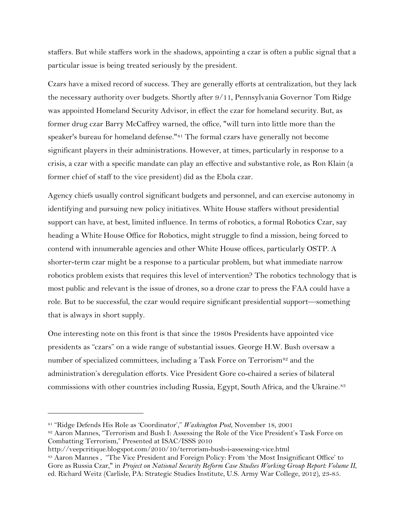staffers. But while staffers work in the shadows, appointing a czar is often a public signal that a particular issue is being treated seriously by the president.

Czars have a mixed record of success. They are generally efforts at centralization, but they lack the necessary authority over budgets. Shortly after 9/11, Pennsylvania Governor Tom Ridge was appointed Homeland Security Advisor, in effect the czar for homeland security. But, as former drug czar Barry McCaffrey warned, the office, "will turn into little more than the speaker's bureau for homeland defense."[81](#page-35-0) The formal czars have generally not become significant players in their administrations. However, at times, particularly in response to a crisis, a czar with a specific mandate can play an effective and substantive role, as Ron Klain (a former chief of staff to the vice president) did as the Ebola czar.

Agency chiefs usually control significant budgets and personnel, and can exercise autonomy in identifying and pursuing new policy initiatives. White House staffers without presidential support can have, at best, limited influence. In terms of robotics, a formal Robotics Czar, say heading a White House Office for Robotics, might struggle to find a mission, being forced to contend with innumerable agencies and other White House offices, particularly OSTP. A shorter-term czar might be a response to a particular problem, but what immediate narrow robotics problem exists that requires this level of intervention? The robotics technology that is most public and relevant is the issue of drones, so a drone czar to press the FAA could have a role. But to be successful, the czar would require significant presidential support—something that is always in short supply.

One interesting note on this front is that since the 1980s Presidents have appointed vice presidents as "czars" on a wide range of substantial issues. George H.W. Bush oversaw a number of specialized committees, including a Task Force on Terrorism<sup>[82](#page-35-1)</sup> and the administration's deregulation efforts. Vice President Gore co-chaired a series of bilateral commissions with other countries including Russia, Egypt, South Africa, and the Ukraine.<sup>[83](#page-35-2)</sup>

<span id="page-35-0"></span><sup>81</sup> "Ridge Defends His Role as 'Coordinator'," *Washington Post*, November 18, 2001

<span id="page-35-1"></span><sup>82</sup> Aaron Mannes, "Terrorism and Bush I: Assessing the Role of the Vice President's Task Force on Combatting Terrorism," Presented at ISAC/ISSS 2010

<span id="page-35-2"></span>http://veepcritique.blogspot.com/2010/10/terrorism-bush-i-assessing-vice.html 83 Aaron Mannes, "The Vice President and Foreign Policy: From 'the Most Insignificant Office' to Gore as Russia Czar," in *Project on National Security Reform Case Studies Working Group Report: Volume II*, ed. Richard Weitz (Carlisle, PA: Strategic Studies Institute, U.S. Army War College, 2012), 23-85.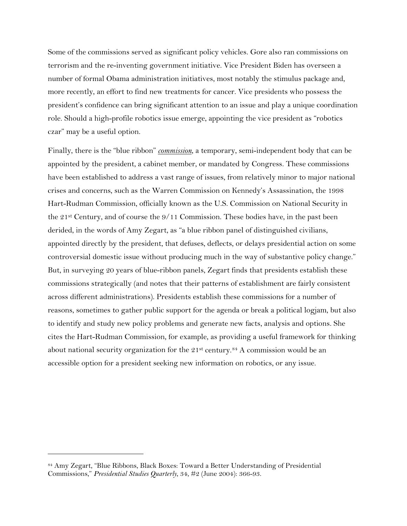Some of the commissions served as significant policy vehicles. Gore also ran commissions on terrorism and the re-inventing government initiative. Vice President Biden has overseen a number of formal Obama administration initiatives, most notably the stimulus package and, more recently, an effort to find new treatments for cancer. Vice presidents who possess the president's confidence can bring significant attention to an issue and play a unique coordination role. Should a high-profile robotics issue emerge, appointing the vice president as "robotics czar" may be a useful option.

Finally, there is the "blue ribbon" *commission*, a temporary, semi-independent body that can be appointed by the president, a cabinet member, or mandated by Congress. These commissions have been established to address a vast range of issues, from relatively minor to major national crises and concerns, such as the Warren Commission on Kennedy's Assassination, the 1998 Hart-Rudman Commission, officially known as the U.S. Commission on National Security in the 21<sup>st</sup> Century, and of course the  $9/11$  Commission. These bodies have, in the past been derided, in the words of Amy Zegart, as "a blue ribbon panel of distinguished civilians, appointed directly by the president, that defuses, deflects, or delays presidential action on some controversial domestic issue without producing much in the way of substantive policy change." But, in surveying 20 years of blue-ribbon panels, Zegart finds that presidents establish these commissions strategically (and notes that their patterns of establishment are fairly consistent across different administrations). Presidents establish these commissions for a number of reasons, sometimes to gather public support for the agenda or break a political logjam, but also to identify and study new policy problems and generate new facts, analysis and options. She cites the Hart-Rudman Commission, for example, as providing a useful framework for thinking about national security organization for the  $21<sup>st</sup>$  century.<sup>[84](#page-36-0)</sup> A commission would be an accessible option for a president seeking new information on robotics, or any issue.

<span id="page-36-0"></span><sup>84</sup> Amy Zegart, "Blue Ribbons, Black Boxes: Toward a Better Understanding of Presidential Commissions," *Presidential Studies Quarterly*, 34, #2 (June 2004): 366-93.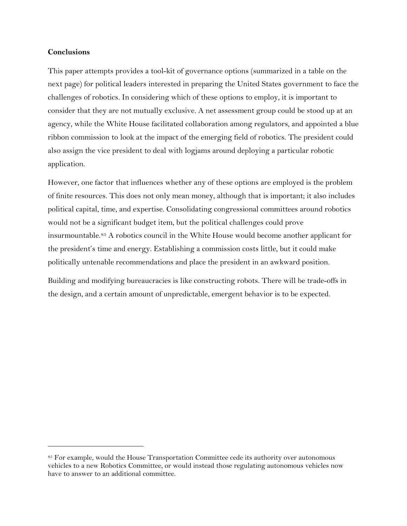## **Conclusions**

 $\overline{a}$ 

This paper attempts provides a tool-kit of governance options (summarized in a table on the next page) for political leaders interested in preparing the United States government to face the challenges of robotics. In considering which of these options to employ, it is important to consider that they are not mutually exclusive. A net assessment group could be stood up at an agency, while the White House facilitated collaboration among regulators, and appointed a blue ribbon commission to look at the impact of the emerging field of robotics. The president could also assign the vice president to deal with logjams around deploying a particular robotic application.

However, one factor that influences whether any of these options are employed is the problem of finite resources. This does not only mean money, although that is important; it also includes political capital, time, and expertise. Consolidating congressional committees around robotics would not be a significant budget item, but the political challenges could prove insurmountable.[85](#page-37-0) A robotics council in the White House would become another applicant for the president's time and energy. Establishing a commission costs little, but it could make politically untenable recommendations and place the president in an awkward position.

Building and modifying bureaucracies is like constructing robots. There will be trade-offs in the design, and a certain amount of unpredictable, emergent behavior is to be expected.

<span id="page-37-0"></span><sup>85</sup> For example, would the House Transportation Committee cede its authority over autonomous vehicles to a new Robotics Committee, or would instead those regulating autonomous vehicles now have to answer to an additional committee.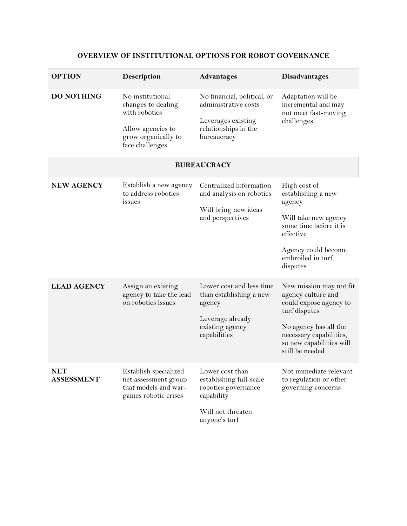| <b>OPTION</b>                   | Description                                                                                                            | <b>Advantages</b>                                                                                                     | Disadvantages                                                                                                                                                                               |  |
|---------------------------------|------------------------------------------------------------------------------------------------------------------------|-----------------------------------------------------------------------------------------------------------------------|---------------------------------------------------------------------------------------------------------------------------------------------------------------------------------------------|--|
| <b>DO NOTHING</b>               | No institutional<br>changes to dealing<br>with robotics<br>Allow agencies to<br>grow organically to<br>face challenges | No financial, political, or<br>administrative costs<br>Leverages existing<br>relationships in the<br>bureaucracy      | Adaptation will be<br>incremental and may<br>not meet fast-moving<br>challenges                                                                                                             |  |
| <b>BUREAUCRACY</b>              |                                                                                                                        |                                                                                                                       |                                                                                                                                                                                             |  |
| <b>NEW AGENCY</b>               | Establish a new agency<br>to address robotics<br>issues                                                                | Centralized information<br>and analysis on robotics<br>Will bring new ideas<br>and perspectives                       | High cost of<br>establishing a new<br>agency<br>Will take new agency<br>some time before it is<br>effective<br>Agency could become<br>embroiled in turf<br>disputes                         |  |
| <b>LEAD AGENCY</b>              | Assign an existing<br>agency to take the lead<br>on robotics issues                                                    | Lower cost and less time<br>than establishing a new<br>agency<br>Leverage already<br>existing agency<br>capabilities  | New mission may not fit<br>agency culture and<br>could expose agency to<br>turf disputes<br>No agency has all the<br>necessary capabilities,<br>so new capabilities will<br>still be needed |  |
| <b>NET</b><br><b>ASSESSMENT</b> | Establish specialized<br>net assessment group<br>that models and war-<br>games robotic crises                          | Lower cost than<br>establishing full-scale<br>robotics governance<br>capability<br>Will not threaten<br>anyone's turf | Not immediate relevant<br>to regulation or other<br>governing concerns                                                                                                                      |  |

# **OVERVIEW OF INSTITUTIONAL OPTIONS FOR ROBOT GOVERNANCE**